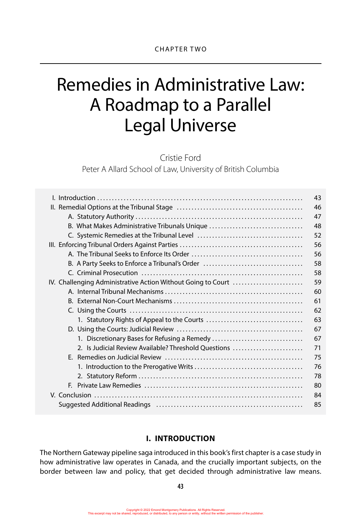# Remedies in Administrative Law: A Roadmap to a Parallel Legal Universe

Cristie Ford

Peter A Allard School of Law, University of British Columbia

|                                                                                                                             | 43 |
|-----------------------------------------------------------------------------------------------------------------------------|----|
|                                                                                                                             | 46 |
|                                                                                                                             | 47 |
| B. What Makes Administrative Tribunals Unique                                                                               | 48 |
|                                                                                                                             | 52 |
|                                                                                                                             | 56 |
|                                                                                                                             | 56 |
| B. A Party Seeks to Enforce a Tribunal's Order                                                                              | 58 |
|                                                                                                                             | 58 |
| IV. Challenging Administrative Action Without Going to Court                                                                | 59 |
|                                                                                                                             | 60 |
|                                                                                                                             | 61 |
|                                                                                                                             | 62 |
|                                                                                                                             | 63 |
|                                                                                                                             | 67 |
| 1. Discretionary Bases for Refusing a Remedy                                                                                | 67 |
| 2. Is Judicial Review Available? Threshold Questions                                                                        | 71 |
|                                                                                                                             | 75 |
|                                                                                                                             | 76 |
|                                                                                                                             | 78 |
|                                                                                                                             | 80 |
|                                                                                                                             | 84 |
| Suggested Additional Readings (and according contract and according contract and according to Suggested Additional Readings | 85 |
|                                                                                                                             |    |

## **I. INTRODUCTION**

The Northern Gateway pipeline saga introduced in this book's first chapter is a case study in how administrative law operates in Canada, and the crucially important subjects, on the border between law and policy, that get decided through administrative law means.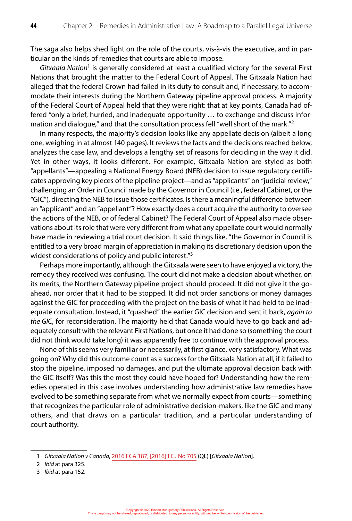The saga also helps shed light on the role of the courts, vis-à-vis the executive, and in particular on the kinds of remedies that courts are able to impose.

*Gitxaala Nation*1 is generally considered at least a qualified victory for the several First Nations that brought the matter to the Federal Court of Appeal. The Gitxaala Nation had alleged that the federal Crown had failed in its duty to consult and, if necessary, to accommodate their interests during the Northern Gateway pipeline approval process. A majority of the Federal Court of Appeal held that they were right: that at key points, Canada had offered "only a brief, hurried, and inadequate opportunity … to exchange and discuss information and dialogue," and that the consultation process fell "well short of the mark."<sup>2</sup>

In many respects, the majority's decision looks like any appellate decision (albeit a long one, weighing in at almost 140 pages). It reviews the facts and the decisions reached below, analyzes the case law, and develops a lengthy set of reasons for deciding in the way it did. Yet in other ways, it looks different. For example, Gitxaala Nation are styled as both "appellants"—appealing a National Energy Board (NEB) decision to issue regulatory certificates approving key pieces of the pipeline project—and as "applicants" on "judicial review," challenging an Order in Council made by the Governor in Council (i.e., federal Cabinet, or the "GIC"), directing the NEB to issue those certificates. Is there a meaningful difference between an "applicant" and an "appellant"? How exactly does a court acquire the authority to oversee the actions of the NEB, or of federal Cabinet? The Federal Court of Appeal also made observations about its role that were very different from what any appellate court would normally have made in reviewing a trial court decision. It said things like, "the Governor in Council is entitled to a very broad margin of appreciation in making its discretionary decision upon the widest considerations of policy and public interest."<sup>3</sup>

Perhaps more importantly, although the Gitxaala were seen to have enjoyed a victory, the remedy they received was confusing. The court did not make a decision about whether, on its merits, the Northern Gateway pipeline project should proceed. It did not give it the goahead, nor order that it had to be stopped. It did not order sanctions or money damages against the GIC for proceeding with the project on the basis of what it had held to be inadequate consultation. Instead, it "quashed" the earlier GIC decision and sent it back, *again to the GIC*, for reconsideration. The majority held that Canada would have to go back and adequately consult with the relevant First Nations, but once it had done so (something the court did not think would take long) it was apparently free to continue with the approval process.

None of this seems very familiar or necessarily, at first glance, very satisfactory. What was going on? Why did this outcome count as a success for the Gitxaala Nation at all, if it failed to stop the pipeline, imposed no damages, and put the ultimate approval decision back with the GIC itself? Was this the most they could have hoped for? Understanding how the remedies operated in this case involves understanding how administrative law remedies have evolved to be something separate from what we normally expect from courts—something that recognizes the particular role of administrative decision-makers, like the GIC and many others, and that draws on a particular tradition, and a particular understanding of court authority.

<sup>1</sup> *Gitxaala Nation v Canada*, [2016 FCA 187, \[2016\] FCJ No 705](https://www.canlii.org/en/ca/fca/doc/2016/2016fca187/2016fca187.html) (QL) [*Gitxaala Nation*].

<sup>2</sup> *Ibid* at para 325.

<sup>3</sup> *Ibid* at para 152.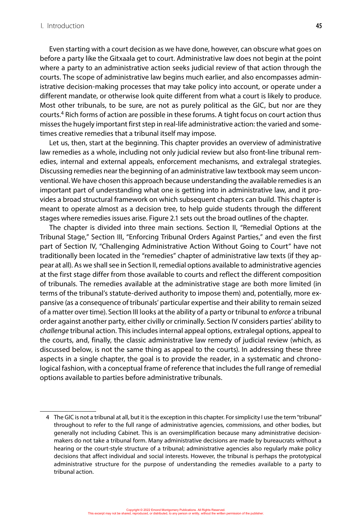Even starting with a court decision as we have done, however, can obscure what goes on before a party like the Gitxaala get to court. Administrative law does not begin at the point where a party to an administrative action seeks judicial review of that action through the courts. The scope of administrative law begins much earlier, and also encompasses administrative decision-making processes that may take policy into account, or operate under a different mandate, or otherwise look quite different from what a court is likely to produce. Most other tribunals, to be sure, are not as purely political as the GIC, but nor are they courts.4 Rich forms of action are possible in these forums. A tight focus on court action thus misses the hugely important first step in real-life administrative action: the varied and sometimes creative remedies that a tribunal itself may impose.

Let us, then, start at the beginning. This chapter provides an overview of administrative law remedies as a whole, including not only judicial review but also front-line tribunal remedies, internal and external appeals, enforcement mechanisms, and extralegal strategies. Discussing remedies near the beginning of an administrative law textbook may seem unconventional. We have chosen this approach because understanding the available remedies is an important part of understanding what one is getting into in administrative law, and it provides a broad structural framework on which subsequent chapters can build. This chapter is meant to operate almost as a decision tree, to help guide students through the different stages where remedies issues arise. Figure 2.1 sets out the broad outlines of the chapter.

The chapter is divided into three main sections. Section II, "Remedial Options at the Tribunal Stage," Section III, "Enforcing Tribunal Orders Against Parties," and even the first part of Section IV, "Challenging Administrative Action Without Going to Court" have not traditionally been located in the "remedies" chapter of administrative law texts (if they appear at all). As we shall see in Section II, remedial options available to administrative agencies at the first stage differ from those available to courts and reflect the different composition of tribunals. The remedies available at the administrative stage are both more limited (in terms of the tribunal's statute-derived authority to impose them) and, potentially, more expansive (as a consequence of tribunals' particular expertise and their ability to remain seized of a matter over time). Section III looks at the ability of a party or tribunal to *enforce* a tribunal order against another party, either civilly or criminally. Section IV considers parties' ability to *challenge* tribunal action. This includes internal appeal options, extralegal options, appeal to the courts, and, finally, the classic administrative law remedy of judicial review (which, as discussed below, is not the same thing as appeal to the courts). In addressing these three aspects in a single chapter, the goal is to provide the reader, in a systematic and chronological fashion, with a conceptual frame of reference that includes the full range of remedial options available to parties before administrative tribunals.

<sup>4</sup> The GIC is not a tribunal at all, but it is the exception in this chapter. For simplicity I use the term "tribunal" throughout to refer to the full range of administrative agencies, commissions, and other bodies, but generally not including Cabinet. This is an oversimplification because many administrative decisionmakers do not take a tribunal form. Many administrative decisions are made by bureaucrats without a hearing or the court-style structure of a tribunal; administrative agencies also regularly make policy decisions that affect individual and social interests. However, the tribunal is perhaps the prototypical administrative structure for the purpose of understanding the remedies available to a party to tribunal action.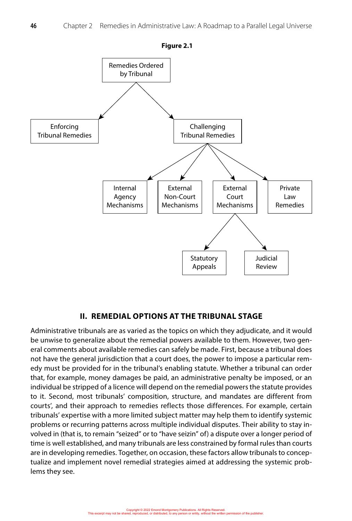

## **II. REMEDIAL OPTIONS AT THE TRIBUNAL STAGE**

Administrative tribunals are as varied as the topics on which they adjudicate, and it would be unwise to generalize about the remedial powers available to them. However, two general comments about available remedies can safely be made. First, because a tribunal does not have the general jurisdiction that a court does, the power to impose a particular remedy must be provided for in the tribunal's enabling statute. Whether a tribunal can order that, for example, money damages be paid, an administrative penalty be imposed, or an individual be stripped of a licence will depend on the remedial powers the statute provides to it. Second, most tribunals' composition, structure, and mandates are different from courts', and their approach to remedies reflects those differences. For example, certain tribunals' expertise with a more limited subject matter may help them to identify systemic problems or recurring patterns across multiple individual disputes. Their ability to stay involved in (that is, to remain "seized" or to "have seizin" of) a dispute over a longer period of time is well established, and many tribunals are less constrained by formal rules than courts are in developing remedies. Together, on occasion, these factors allow tribunals to conceptualize and implement novel remedial strategies aimed at addressing the systemic problems they see.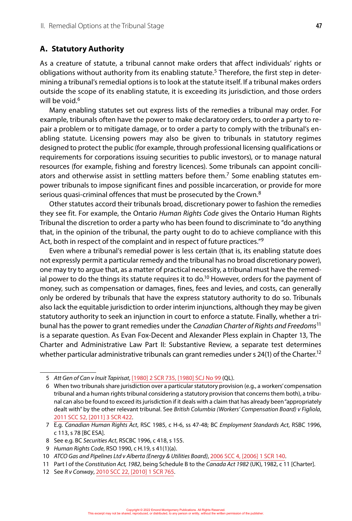#### **A. Statutory Authority**

As a creature of statute, a tribunal cannot make orders that affect individuals' rights or obligations without authority from its enabling statute.<sup>5</sup> Therefore, the first step in determining a tribunal's remedial options is to look at the statute itself. If a tribunal makes orders outside the scope of its enabling statute, it is exceeding its jurisdiction, and those orders will be void.<sup>6</sup>

Many enabling statutes set out express lists of the remedies a tribunal may order. For example, tribunals often have the power to make declaratory orders, to order a party to repair a problem or to mitigate damage, or to order a party to comply with the tribunal's enabling statute. Licensing powers may also be given to tribunals in statutory regimes designed to protect the public (for example, through professional licensing qualifications or requirements for corporations issuing securities to public investors), or to manage natural resources (for example, fishing and forestry licences). Some tribunals can appoint conciliators and otherwise assist in settling matters before them.<sup>7</sup> Some enabling statutes empower tribunals to impose significant fines and possible incarceration, or provide for more serious quasi-criminal offences that must be prosecuted by the Crown.<sup>8</sup>

Other statutes accord their tribunals broad, discretionary power to fashion the remedies they see fit. For example, the Ontario *Human Rights Code* gives the Ontario Human Rights Tribunal the discretion to order a party who has been found to discriminate to "do anything that, in the opinion of the tribunal, the party ought to do to achieve compliance with this Act, both in respect of the complaint and in respect of future practices."<sup>9</sup>

Even where a tribunal's remedial power is less certain (that is, its enabling statute does not expressly permit a particular remedy and the tribunal has no broad discretionary power), one may try to argue that, as a matter of practical necessity, a tribunal must have the remedial power to do the things its statute requires it to do.<sup>10</sup> However, orders for the payment of money, such as compensation or damages, fines, fees and levies, and costs, can generally only be ordered by tribunals that have the express statutory authority to do so. Tribunals also lack the equitable jurisdiction to order interim injunctions, although they may be given statutory authority to seek an injunction in court to enforce a statute. Finally, whether a tribunal has the power to grant remedies under the *Canadian Charter of Rights and Freedoms*<sup>11</sup> is a separate question. As Evan Fox-Decent and Alexander Pless explain in Chapter 13, The Charter and Administrative Law Part II: Substantive Review, a separate test determines whether particular administrative tribunals can grant remedies under  $s$  24(1) of the Charter.<sup>12</sup>

<sup>5</sup> *Att Gen of Can v Inuit Tapirisat*, [\[1980\] 2 SCR 735, \[1980\] SCJ No 99](https://www.canlii.org/en/ca/scc/doc/1980/1980canlii21/1980canlii21.html) (QL).

<sup>6</sup> When two tribunals share jurisdiction over a particular statutory provision (e.g., a workers' compensation tribunal and a human rights tribunal considering a statutory provision that concerns them both), a tribunal can also be found to exceed its jurisdiction if it deals with a claim that has already been "appropriately dealt with" by the other relevant tribunal. See *British Columbia (Workers' Compensation Board) v Figliola*, [2011 SCC 52, \[2011\] 3 SCR 422.](https://www.canlii.org/en/ca/scc/doc/2011/2011scc52/2011scc52.html?searchUrlHash=AAAAAQBJV29ya2VycyBDb21wZW5zYXRpb24gQm9hcmQgb2YgQnJpdGlzaCBDb2x1bWJpYSB2LiBGaWdsaW9sYSwgWzIwMTFdIFNDQyA1MgAAAAAB)

<sup>7</sup> E.g. *Canadian Human Rights Act*, RSC 1985, c H-6, ss 47-48; BC *Employment Standards Act*, RSBC 1996, c 113, s 78 [BC ESA].

<sup>8</sup> See e.g. BC *Securities Act*, RSCBC 1996, c 418, s 155.

<sup>9</sup> *Human Rights Code*, RSO 1990, c H.19, s 41(1)(a).

<sup>10</sup> *ATCO Gas and Pipelines Ltd v Alberta (Energy & Utilities Board)*, [2006 SCC 4, \[2006\] 1 SCR 140.](https://www.canlii.org/en/ca/scc/doc/2006/2006scc4/2006scc4.html?autocompleteStr=ATCO Gas %26 Pipelines Ltd v Alberta (Energy %26 Utilities Board)&autocompletePos=1)

<sup>11</sup> Part I of the *Constitution Act, 1982*, being Schedule B to the *Canada Act 1982* (UK), 1982, c 11 [Charter].

<sup>12</sup> See *R v Conway*, [2010 SCC 22, \[2010\] 1 SCR 765.](https://www.canlii.org/en/ca/scc/doc/2010/2010scc22/2010scc22.html?autocompleteStr=R. v. Conway 20&autocompletePos=2)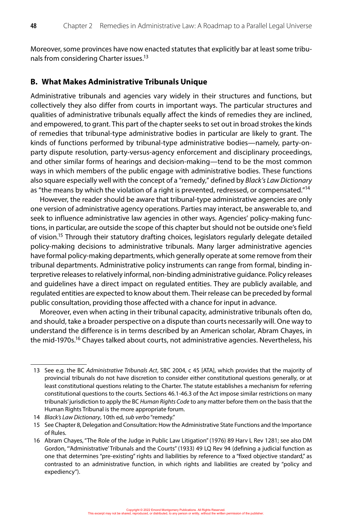Moreover, some provinces have now enacted statutes that explicitly bar at least some tribunals from considering Charter issues.13

## **B. What Makes Administrative Tribunals Unique**

Administrative tribunals and agencies vary widely in their structures and functions, but collectively they also differ from courts in important ways. The particular structures and qualities of administrative tribunals equally affect the kinds of remedies they are inclined, and empowered, to grant. This part of the chapter seeks to set out in broad strokes the kinds of remedies that tribunal-type administrative bodies in particular are likely to grant. The kinds of functions performed by tribunal-type administrative bodies—namely, party-onparty dispute resolution, party-versus-agency enforcement and disciplinary proceedings, and other similar forms of hearings and decision-making—tend to be the most common ways in which members of the public engage with administrative bodies. These functions also square especially well with the concept of a "remedy," defined by *Black's Law Dictionary* as "the means by which the violation of a right is prevented, redressed, or compensated."<sup>14</sup>

However, the reader should be aware that tribunal-type administrative agencies are only one version of administrative agency operations. Parties may interact, be answerable to, and seek to influence administrative law agencies in other ways. Agencies' policy-making functions, in particular, are outside the scope of this chapter but should not be outside one's field of vision.15 Through their statutory drafting choices, legislators regularly delegate detailed policy-making decisions to administrative tribunals. Many larger administrative agencies have formal policy-making departments, which generally operate at some remove from their tribunal departments. Administrative policy instruments can range from formal, binding interpretive releases to relatively informal, non-binding administrative guidance. Policy releases and guidelines have a direct impact on regulated entities. They are publicly available, and regulated entities are expected to know about them. Their release can be preceded by formal public consultation, providing those affected with a chance for input in advance.

Moreover, even when acting in their tribunal capacity, administrative tribunals often do, and should, take a broader perspective on a dispute than courts necessarily will. One way to understand the difference is in terms described by an American scholar, Abram Chayes, in the mid-1970s.<sup>16</sup> Chayes talked about courts, not administrative agencies. Nevertheless, his

<sup>13</sup> See e.g. the BC *Administrative Tribunals Act*, SBC 2004, c 45 [ATA], which provides that the majority of provincial tribunals do not have discretion to consider either constitutional questions generally, or at least constitutional questions relating to the Charter. The statute establishes a mechanism for referring constitutional questions to the courts. Sections 46.1-46.3 of the Act impose similar restrictions on many tribunals' jurisdiction to apply the BC *Human Rights Code* to any matter before them on the basis that the Human Rights Tribunal is the more appropriate forum.

<sup>14</sup> *Black's Law Dictionary*, 10th ed, *sub verbo* "remedy."

<sup>15</sup> See Chapter 8, Delegation and Consultation: How the Administrative State Functions and the Importance of Rules.

<sup>16</sup> Abram Chayes, "The Role of the Judge in Public Law Litigation" (1976) 89 Harv L Rev 1281; see also DM Gordon, "'Administrative' Tribunals and the Courts" (1933) 49 LQ Rev 94 (defining a judicial function as one that determines "pre-existing" rights and liabilities by reference to a "fixed objective standard," as contrasted to an administrative function, in which rights and liabilities are created by "policy and expediency").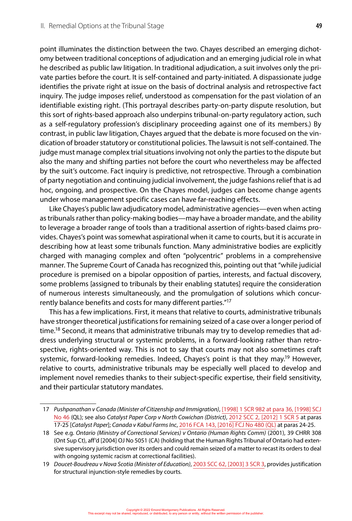point illuminates the distinction between the two. Chayes described an emerging dichotomy between traditional conceptions of adjudication and an emerging judicial role in what he described as public law litigation. In traditional adjudication, a suit involves only the private parties before the court. It is self-contained and party-initiated. A dispassionate judge identifies the private right at issue on the basis of doctrinal analysis and retrospective fact inquiry. The judge imposes relief, understood as compensation for the past violation of an identifiable existing right. (This portrayal describes party-on-party dispute resolution, but this sort of rights-based approach also underpins tribunal-on-party regulatory action, such as a self-regulatory profession's disciplinary proceeding against one of its members.) By contrast, in public law litigation, Chayes argued that the debate is more focused on the vindication of broader statutory or constitutional policies. The lawsuit is not self-contained. The judge must manage complex trial situations involving not only the parties to the dispute but also the many and shifting parties not before the court who nevertheless may be affected by the suit's outcome. Fact inquiry is predictive, not retrospective. Through a combination of party negotiation and continuing judicial involvement, the judge fashions relief that is ad hoc, ongoing, and prospective. On the Chayes model, judges can become change agents under whose management specific cases can have far-reaching effects.

Like Chayes's public law adjudicatory model, administrative agencies—even when acting as tribunals rather than policy-making bodies—may have a broader mandate, and the ability to leverage a broader range of tools than a traditional assertion of rights-based claims provides. Chayes's point was somewhat aspirational when it came to courts, but it is accurate in describing how at least some tribunals function. Many administrative bodies are explicitly charged with managing complex and often "polycentric" problems in a comprehensive manner. The Supreme Court of Canada has recognized this, pointing out that "while judicial procedure is premised on a bipolar opposition of parties, interests, and factual discovery, some problems [assigned to tribunals by their enabling statutes] require the consideration of numerous interests simultaneously, and the promulgation of solutions which concurrently balance benefits and costs for many different parties."17

This has a few implications. First, it means that relative to courts, administrative tribunals have stronger theoretical justifications for remaining seized of a case over a longer period of time.<sup>18</sup> Second, it means that administrative tribunals may try to develop remedies that address underlying structural or systemic problems, in a forward-looking rather than retrospective, rights-oriented way. This is not to say that courts may not also sometimes craft systemic, forward-looking remedies. Indeed, Chayes's point is that they may.<sup>19</sup> However, relative to courts, administrative tribunals may be especially well placed to develop and implement novel remedies thanks to their subject-specific expertise, their field sensitivity, and their particular statutory mandates.

<sup>17</sup> *Pushpanathan v Canada (Minister of Citizenship and Immigration)*, [\[1998\] 1 SCR 982 at para 36, \[1998\] SCJ](http://canlii.ca/t/1fqs6)  [No 46](http://canlii.ca/t/1fqs6) (QL); see also *Catalyst Paper Corp v North Cowichan (District)*, [2012 SCC 2, \[2012\] 1 SCR 5](https://www.canlii.org/en/ca/scc/doc/2012/2012scc2/2012scc2.html?searchUrlHash=AAAAAQAxQ2F0YWx5c3QgUGFwZXIgQ29ycCB2IE5vcnRoIENvd2ljaGFuIChEaXN0cmljdCksIAAAAAAB&resultIndex=1) at paras 17-25 [*Catalyst Paper*]; *Canada v Kabul Farms Inc*, [2016 FCA 143, \[2016\] FCJ No 480 \(QL\)](https://www.canlii.org/en/ca/fca/doc/2016/2016fca143/2016fca143.html) at paras 24-25.

<sup>18</sup> See e.g. *Ontario (Ministry of Correctional Services) v Ontario (Human Rights Comm)* (2001), 39 CHRR 308 (Ont Sup Ct), aff'd [2004] OJ No 5051 (CA) (holding that the Human Rights Tribunal of Ontario had extensive supervisory jurisdiction over its orders and could remain seized of a matter to recast its orders to deal with ongoing systemic racism at correctional facilities).

<sup>19</sup> *Doucet-Boudreau v Nova Scotia (Minister of Education)*, [2003 SCC 62, \[2003\] 3 SCR 3](https://www.canlii.org/en/ca/scc/doc/2003/2003scc62/2003scc62.html?searchUrlHash=AAAAAQA1RG91Y2V0LUJvdWRyZWF1IHYgTm92YSBTY290aWEgKE1pbmlzdGVyIG9mIEVkdWNhdGlvbikAAAAAAQ&resultIndex=1), provides justification for structural injunction-style remedies by courts.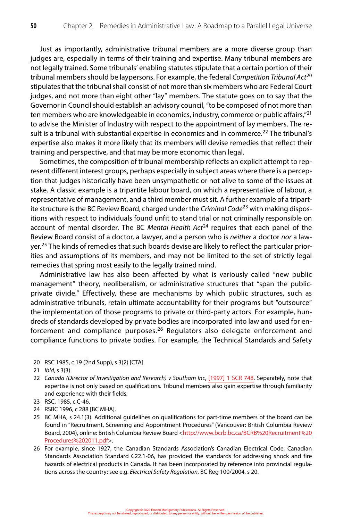Just as importantly, administrative tribunal members are a more diverse group than judges are, especially in terms of their training and expertise. Many tribunal members are not legally trained. Some tribunals' enabling statutes stipulate that a certain portion of their tribunal members should be laypersons. For example, the federal *Competition Tribunal Act*<sup>20</sup> stipulates that the tribunal shall consist of not more than six members who are Federal Court judges, and not more than eight other "lay" members. The statute goes on to say that the Governor in Council should establish an advisory council, "to be composed of not more than ten members who are knowledgeable in economics, industry, commerce or public affairs,"<sup>21</sup> to advise the Minister of Industry with respect to the appointment of lay members. The result is a tribunal with substantial expertise in economics and in commerce.<sup>22</sup> The tribunal's expertise also makes it more likely that its members will devise remedies that reflect their training and perspective, and that may be more economic than legal.

Sometimes, the composition of tribunal membership reflects an explicit attempt to represent different interest groups, perhaps especially in subject areas where there is a perception that judges historically have been unsympathetic or not alive to some of the issues at stake. A classic example is a tripartite labour board, on which a representative of labour, a representative of management, and a third member must sit. A further example of a tripartite structure is the BC Review Board, charged under the *Criminal Code*23 with making dispositions with respect to individuals found unfit to stand trial or not criminally responsible on account of mental disorder. The BC *Mental Health Act*24 requires that each panel of the Review Board consist of a doctor, a lawyer, and a person who is *neither* a doctor *nor* a lawyer.<sup>25</sup> The kinds of remedies that such boards devise are likely to reflect the particular priorities and assumptions of its members, and may not be limited to the set of strictly legal remedies that spring most easily to the legally trained mind.

Administrative law has also been affected by what is variously called "new public management" theory, neoliberalism, or administrative structures that "span the publicprivate divide." Effectively, these are mechanisms by which public structures, such as administrative tribunals, retain ultimate accountability for their programs but "outsource" the implementation of those programs to private or third-party actors. For example, hundreds of standards developed by private bodies are incorporated into law and used for enforcement and compliance purposes.26 Regulators also delegate enforcement and compliance functions to private bodies. For example, the Technical Standards and Safety

<sup>20</sup> RSC 1985, c 19 (2nd Supp), s 3(2) [CTA].

<sup>21</sup> *Ibid*, s 3(3).

<sup>22</sup> *Canada (Director of Investigation and Research) v Southam Inc*, [\[1997\] 1 SCR 748](https://www.canlii.org/en/ca/scc/doc/1997/1997canlii385/1997canlii385.html?searchUrlHash=AAAAAQBQQ2FuYWRhIChEaXJlY3RvciBvZiBJbnZlc3RpZ2F0aW9uIGFuZCBSZXNlYXJjaCkgdiBTb3V0aGFtIEluYywgWzE5OTddIDEgU0NSIDc0OCAAAAAAAQ&resultIndex=1). Separately, note that expertise is not only based on qualifications. Tribunal members also gain expertise through familiarity and experience with their fields.

<sup>23</sup> RSC, 1985, c C-46.

<sup>24</sup> RSBC 1996, c 288 [BC MHA].

<sup>25</sup> BC MHA, s 24.1(3). Additional guidelines on qualifications for part-time members of the board can be found in "Recruitment, Screening and Appointment Procedures" (Vancouver: British Columbia Review Board, 2004), online: British Columbia Review Board <[http://www.bcrb.bc.ca/BCRB%20Recruitment%20](http://www.bcrb.bc.ca/BCRB Recruitment Procedures 2011.pdf) [Procedures%202011.pdf](http://www.bcrb.bc.ca/BCRB Recruitment Procedures 2011.pdf)>.

<sup>26</sup> For example, since 1927, the Canadian Standards Association's Canadian Electrical Code, Canadian Standards Association Standard C22.1-06, has provided the standards for addressing shock and fire hazards of electrical products in Canada. It has been incorporated by reference into provincial regulations across the country: see e.g. *Electrical Safety Regulation*, BC Reg 100/2004, s 20.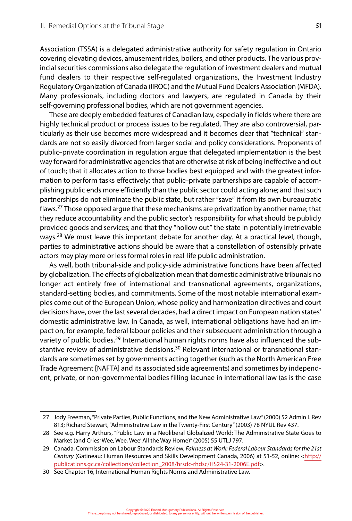Association (TSSA) is a delegated administrative authority for safety regulation in Ontario covering elevating devices, amusement rides, boilers, and other products. The various provincial securities commissions also delegate the regulation of investment dealers and mutual fund dealers to their respective self-regulated organizations, the Investment Industry Regulatory Organization of Canada (IIROC) and the Mutual Fund Dealers Association (MFDA). Many professionals, including doctors and lawyers, are regulated in Canada by their self-governing professional bodies, which are not government agencies.

These are deeply embedded features of Canadian law, especially in fields where there are highly technical product or process issues to be regulated. They are also controversial, particularly as their use becomes more widespread and it becomes clear that "technical" standards are not so easily divorced from larger social and policy considerations. Proponents of public–private coordination in regulation argue that delegated implementation is the best way forward for administrative agencies that are otherwise at risk of being ineffective and out of touch; that it allocates action to those bodies best equipped and with the greatest information to perform tasks effectively; that public–private partnerships are capable of accomplishing public ends more efficiently than the public sector could acting alone; and that such partnerships do not eliminate the public state, but rather "save" it from its own bureaucratic flaws.<sup>27</sup> Those opposed argue that these mechanisms are privatization by another name; that they reduce accountability and the public sector's responsibility for what should be publicly provided goods and services; and that they "hollow out" the state in potentially irretrievable ways.<sup>28</sup> We must leave this important debate for another day. At a practical level, though, parties to administrative actions should be aware that a constellation of ostensibly private actors may play more or less formal roles in real-life public administration.

As well, both tribunal-side and policy-side administrative functions have been affected by globalization. The effects of globalization mean that domestic administrative tribunals no longer act entirely free of international and transnational agreements, organizations, standard-setting bodies, and commitments. Some of the most notable international examples come out of the European Union, whose policy and harmonization directives and court decisions have, over the last several decades, had a direct impact on European nation states' domestic administrative law. In Canada, as well, international obligations have had an impact on, for example, federal labour policies and their subsequent administration through a variety of public bodies.<sup>29</sup> International human rights norms have also influenced the substantive review of administrative decisions.<sup>30</sup> Relevant international or transnational standards are sometimes set by governments acting together (such as the North American Free Trade Agreement [NAFTA] and its associated side agreements) and sometimes by independent, private, or non-governmental bodies filling lacunae in international law (as is the case

<sup>27</sup> Jody Freeman, "Private Parties, Public Functions, and the New Administrative Law" (2000) 52 Admin L Rev 813; Richard Stewart, "Administrative Law in the Twenty-First Century" (2003) 78 NYUL Rev 437.

<sup>28</sup> See e.g. Harry Arthurs, "Public Law in a Neoliberal Globalized World: The Administrative State Goes to Market (and Cries 'Wee, Wee, Wee' All the Way Home)" (2005) 55 UTLJ 797.

<sup>29</sup> Canada, Commission on Labour Standards Review, *Fairness at Work: Federal Labour Standards for the 21st Century* (Gatineau: Human Resources and Skills Development Canada, 2006) at 51-52, online: <[http://](http://publications.gc.ca/collections/collection_2008/hrsdc-rhdsc/HS24-31-2006E.pdf) [publications.gc.ca/collections/collection\\_2008/hrsdc-rhdsc/HS24-31-2006E.pdf>](http://publications.gc.ca/collections/collection_2008/hrsdc-rhdsc/HS24-31-2006E.pdf).

<sup>30</sup> See Chapter 16, International Human Rights Norms and Administrative Law.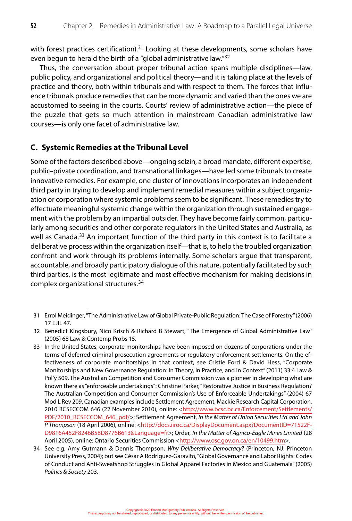with forest practices certification).<sup>31</sup> Looking at these developments, some scholars have even begun to herald the birth of a "global administrative law."<sup>32</sup>

Thus, the conversation about proper tribunal action spans multiple disciplines—law, public policy, and organizational and political theory—and it is taking place at the levels of practice and theory, both within tribunals and with respect to them. The forces that influence tribunals produce remedies that can be more dynamic and varied than the ones we are accustomed to seeing in the courts. Courts' review of administrative action—the piece of the puzzle that gets so much attention in mainstream Canadian administrative law courses—is only one facet of administrative law.

## **C. Systemic Remedies at the Tribunal Level**

Some of the factors described above—ongoing seizin, a broad mandate, different expertise, public–private coordination, and transnational linkages—have led some tribunals to create innovative remedies. For example, one cluster of innovations incorporates an independent third party in trying to develop and implement remedial measures within a subject organization or corporation where systemic problems seem to be significant. These remedies try to effectuate meaningful systemic change within the organization through sustained engagement with the problem by an impartial outsider. They have become fairly common, particularly among securities and other corporate regulators in the United States and Australia, as well as Canada.<sup>33</sup> An important function of the third party in this context is to facilitate a deliberative process within the organization itself—that is, to help the troubled organization confront and work through its problems internally. Some scholars argue that transparent, accountable, and broadly participatory dialogue of this nature, potentially facilitated by such third parties, is the most legitimate and most effective mechanism for making decisions in complex organizational structures.34

<sup>31</sup> Errol Meidinger, "The Administrative Law of Global Private-Public Regulation: The Case of Forestry" (2006) 17 EJIL 47.

<sup>32</sup> Benedict Kingsbury, Nico Krisch & Richard B Stewart, "The Emergence of Global Administrative Law" (2005) 68 Law & Contemp Probs 15.

<sup>33</sup> In the United States, corporate monitorships have been imposed on dozens of corporations under the terms of deferred criminal prosecution agreements or regulatory enforcement settlements. On the effectiveness of corporate monitorships in that context, see Cristie Ford & David Hess, "Corporate Monitorships and New Governance Regulation: In Theory, in Practice, and in Context" (2011) 33:4 Law & Pol'y 509. The Australian Competition and Consumer Commission was a pioneer in developing what are known there as "enforceable undertakings": Christine Parker, "Restorative Justice in Business Regulation? The Australian Competition and Consumer Commission's Use of Enforceable Undertakings" (2004) 67 Mod L Rev 209. Canadian examples include Settlement Agreement, Mackie Research Capital Corporation, 2010 BCSECCOM 646 (22 November 2010), online: <[http://www.bcsc.bc.ca/Enforcement/Settlements/](http://www.bcsc.bc.ca/Enforcement/Settlements/PDF/2010_BCSECCOM_646_pdf/) [PDF/2010\\_BCSECCOM\\_646\\_pdf](http://www.bcsc.bc.ca/Enforcement/Settlements/PDF/2010_BCSECCOM_646_pdf/)/>; Settlement Agreement, *In the Matter of Union Securities Ltd and John P Thompson* (18 April 2006), online: [<http://docs.iiroc.ca/DisplayDocument.aspx?DocumentID=71522F-](http://docs.iiroc.ca/DisplayDocument.aspx?DocumentID=71522FD9816A452F8246B58D8776B613&Language=fr)[D9816A452F8246B58D8776B613&Language=fr](http://docs.iiroc.ca/DisplayDocument.aspx?DocumentID=71522FD9816A452F8246B58D8776B613&Language=fr)>; Order, *In the Matter of Agnico-Eagle Mines Limited* (28 April 2005), online: Ontario Securities Commission <[http://www.osc.gov.on.ca/en/10499.htm>](http://www.osc.gov.on.ca/en/10499.htm).

<sup>34</sup> See e.g. Amy Gutmann & Dennis Thompson, *Why Deliberative Democracy?* (Princeton, NJ: Princeton University Press, 2004); but see César A Rodríguez-Garavito, "Global Governance and Labor Rights: Codes of Conduct and Anti-Sweatshop Struggles in Global Apparel Factories in Mexico and Guatemala" (2005) *Politics & Society* 203.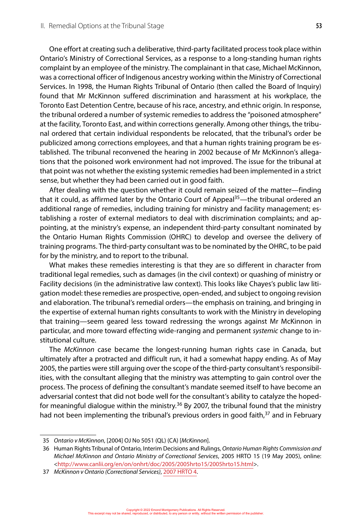One effort at creating such a deliberative, third-party facilitated process took place within Ontario's Ministry of Correctional Services, as a response to a long-standing human rights complaint by an employee of the ministry. The complainant in that case, Michael McKinnon, was a correctional officer of Indigenous ancestry working within the Ministry of Correctional Services. In 1998, the Human Rights Tribunal of Ontario (then called the Board of Inquiry) found that Mr McKinnon suffered discrimination and harassment at his workplace, the Toronto East Detention Centre, because of his race, ancestry, and ethnic origin. In response, the tribunal ordered a number of systemic remedies to address the "poisoned atmosphere" at the facility, Toronto East, and within corrections generally. Among other things, the tribunal ordered that certain individual respondents be relocated, that the tribunal's order be publicized among corrections employees, and that a human rights training program be established. The tribunal reconvened the hearing in 2002 because of Mr McKinnon's allegations that the poisoned work environment had not improved. The issue for the tribunal at that point was not whether the existing systemic remedies had been implemented in a strict sense, but whether they had been carried out in good faith.

After dealing with the question whether it could remain seized of the matter—finding that it could, as affirmed later by the Ontario Court of Appeal<sup>35</sup>—the tribunal ordered an additional range of remedies, including training for ministry and facility management; establishing a roster of external mediators to deal with discrimination complaints; and appointing, at the ministry's expense, an independent third-party consultant nominated by the Ontario Human Rights Commission (OHRC) to develop and oversee the delivery of training programs. The third-party consultant was to be nominated by the OHRC, to be paid for by the ministry, and to report to the tribunal.

What makes these remedies interesting is that they are so different in character from traditional legal remedies, such as damages (in the civil context) or quashing of ministry or Facility decisions (in the administrative law context). This looks like Chayes's public law litigation model: these remedies are prospective, open-ended, and subject to ongoing revision and elaboration. The tribunal's remedial orders—the emphasis on training, and bringing in the expertise of external human rights consultants to work with the Ministry in developing that training—seem geared less toward redressing the wrongs against Mr McKinnon in particular, and more toward effecting wide-ranging and permanent *systemic* change to institutional culture.

The *McKinnon* case became the longest-running human rights case in Canada, but ultimately after a protracted and difficult run, it had a somewhat happy ending. As of May 2005, the parties were still arguing over the scope of the third-party consultant's responsibilities, with the consultant alleging that the ministry was attempting to gain control over the process. The process of defining the consultant's mandate seemed itself to have become an adversarial contest that did not bode well for the consultant's ability to catalyze the hopedfor meaningful dialogue within the ministry.<sup>36</sup> By 2007, the tribunal found that the ministry had not been implementing the tribunal's previous orders in good faith,<sup>37</sup> and in February

<sup>35</sup> *Ontario v McKinnon*, [2004] OJ No 5051 (QL) (CA) [*McKinnon*].

<sup>36</sup> Human Rights Tribunal of Ontario, Interim Decisions and Rulings, *Ontario Human Rights Commission and Michael McKinnon and Ontario Ministry of Correctional Services*, 2005 HRTO 15 (19 May 2005), online: <<http://www.canlii.org/en/on/onhrt/doc/2005/2005hrto15/2005hrto15.html>>.

<sup>37</sup> *McKinnon v Ontario (Correctional Services)*, [2007 HRTO 4.](https://www.canlii.org/en/on/onhrt/doc/2007/2007hrto4/2007hrto4.html?resultIndex=1)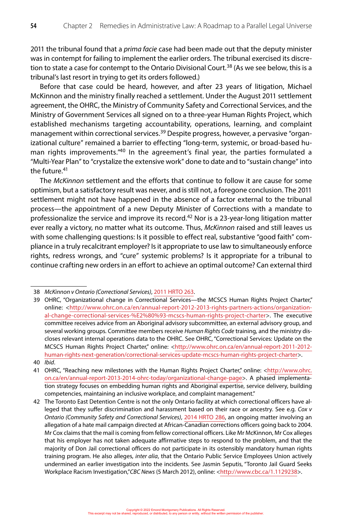2011 the tribunal found that a *prima facie* case had been made out that the deputy minister was in contempt for failing to implement the earlier orders. The tribunal exercised its discretion to state a case for contempt to the Ontario Divisional Court.<sup>38</sup> (As we see below, this is a tribunal's last resort in trying to get its orders followed.)

Before that case could be heard, however, and after 23 years of litigation, Michael McKinnon and the ministry finally reached a settlement. Under the August 2011 settlement agreement, the OHRC, the Ministry of Community Safety and Correctional Services, and the Ministry of Government Services all signed on to a three-year Human Rights Project, which established mechanisms targeting accountability, operations, learning, and complaint management within correctional services.<sup>39</sup> Despite progress, however, a pervasive "organizational culture" remained a barrier to effecting "long-term, systemic, or broad-based human rights improvements.<sup>"40</sup> In the agreement's final year, the parties formulated a "Multi-Year Plan" to "crystalize the extensive work" done to date and to "sustain change" into the future.<sup>41</sup>

The *McKinnon* settlement and the efforts that continue to follow it are cause for some optimism, but a satisfactory result was never, and is still not, a foregone conclusion. The 2011 settlement might not have happened in the absence of a factor external to the tribunal process—the appointment of a new Deputy Minister of Corrections with a mandate to professionalize the service and improve its record.<sup>42</sup> Nor is a 23-year-long litigation matter ever really a victory, no matter what its outcome. Thus, *McKinnon* raised and still leaves us with some challenging questions: Is it possible to effect real, substantive "good faith" compliance in a truly recalcitrant employer? Is it appropriate to use law to simultaneously enforce rights, redress wrongs, and "cure" systemic problems? Is it appropriate for a tribunal to continue crafting new orders in an effort to achieve an optimal outcome? Can external third

<sup>38</sup> *McKinnon v Ontario (Correctional Services)*, [2011 HRTO 263.](https://www.canlii.org/en/on/onhrt/doc/2011/2011hrto263/2011hrto263.html)

<sup>39</sup> OHRC, "Organizational change in Correctional Services—the MCSCS Human Rights Project Charter," online: <[http://www.ohrc.on.ca/en/annual-report-2012-2013-rights-partners-actions/organization](http://www.ohrc.on.ca/en/annual-report-2012-2013-rights-partners-actions/organizational-change-correctional-services-%E2%80%93-mcscs-human-rights-project-charter)[al-change-correctional-services-%E2%80%93-mcscs-human-rights-project-charter](http://www.ohrc.on.ca/en/annual-report-2012-2013-rights-partners-actions/organizational-change-correctional-services-%E2%80%93-mcscs-human-rights-project-charter)>. The executive committee receives advice from an Aboriginal advisory subcommittee, an external advisory group, and several working groups. Committee members receive *Human Rights Code* training, and the ministry discloses relevant internal operations data to the OHRC. See OHRC, "Correctional Services: Update on the MCSCS Human Rights Project Charter," online: <[http://www.ohrc.on.ca/en/annual-report-2011-2012](http://www.ohrc.on.ca/en/annual-report-2011-2012-human-rights-next-generation/correctional-services-update-mcscs-human-rights-project-charter) [human-rights-next-generation/correctional-services-update-mcscs-human-rights-project-charter](http://www.ohrc.on.ca/en/annual-report-2011-2012-human-rights-next-generation/correctional-services-update-mcscs-human-rights-project-charter)>.

<sup>40</sup> *Ibid*.

<sup>41</sup> OHRC, "Reaching new milestones with the Human Rights Project Charter," online: <[http://www.ohrc.](http://www.ohrc.on.ca/en/annual-report-2013-2014-ohrc-today/organizational-change-page) [on.ca/en/annual-report-2013-2014-ohrc-today/organizational-change-page>](http://www.ohrc.on.ca/en/annual-report-2013-2014-ohrc-today/organizational-change-page). A phased implementation strategy focuses on embedding human rights and Aboriginal expertise, service delivery, building competencies, maintaining an inclusive workplace, and complaint management."

<sup>42</sup> The Toronto East Detention Centre is not the only Ontario facility at which correctional officers have alleged that they suffer discrimination and harassment based on their race or ancestry. See e.g. *Cox v Ontario (Community Safety and Correctional Services)*, [2014 HRTO 286,](https://www.canlii.org/en/on/onhrt/doc/2014/2014hrto286/2014hrto286.html?searchUrlHash=AAAAAQA5Q294IHYgT250YXJpbyAoQ29tbXVuaXR5IFNhZmV0eSBhbmQgQ29ycmVjdGlvbmFsIFNlcnZpY2VzAAAAAAE&resultIndex=8) an ongoing matter involving an allegation of a hate mail campaign directed at African-Canadian corrections officers going back to 2004. Mr Cox claims that the mail is coming from fellow correctional officers. Like Mr McKinnon, Mr Cox alleges that his employer has not taken adequate affirmative steps to respond to the problem, and that the majority of Don Jail correctional officers do not participate in its ostensibly mandatory human rights training program. He also alleges, *inter alia*, that the Ontario Public Service Employees Union actively undermined an earlier investigation into the incidents. See Jasmin Seputis, "Toronto Jail Guard Seeks Workplace Racism Investigation,"*CBC News* (5 March 2012), online: <<http://www.cbc.ca/1.1129238>>.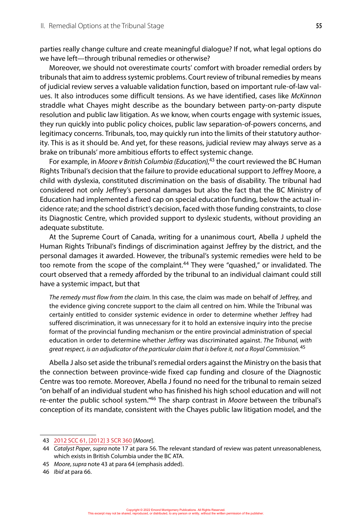parties really change culture and create meaningful dialogue? If not, what legal options do we have left—through tribunal remedies or otherwise?

Moreover, we should not overestimate courts' comfort with broader remedial orders by tribunals that aim to address systemic problems. Court review of tribunal remedies by means of judicial review serves a valuable validation function, based on important rule-of-law values. It also introduces some difficult tensions. As we have identified, cases like *McKinnon* straddle what Chayes might describe as the boundary between party-on-party dispute resolution and public law litigation. As we know, when courts engage with systemic issues, they run quickly into public policy choices, public law separation-of-powers concerns, and legitimacy concerns. Tribunals, too, may quickly run into the limits of their statutory authority. This is as it should be. And yet, for these reasons, judicial review may always serve as a brake on tribunals' more ambitious efforts to effect systemic change.

For example, in *Moore v British Columbia (Education)*, 43 the court reviewed the BC Human Rights Tribunal's decision that the failure to provide educational support to Jeffrey Moore, a child with dyslexia, constituted discrimination on the basis of disability. The tribunal had considered not only Jeffrey's personal damages but also the fact that the BC Ministry of Education had implemented a fixed cap on special education funding, below the actual incidence rate; and the school district's decision, faced with those funding constraints, to close its Diagnostic Centre, which provided support to dyslexic students, without providing an adequate substitute.

At the Supreme Court of Canada, writing for a unanimous court, Abella J upheld the Human Rights Tribunal's findings of discrimination against Jeffrey by the district, and the personal damages it awarded. However, the tribunal's systemic remedies were held to be too remote from the scope of the complaint.<sup>44</sup> They were "quashed," or invalidated. The court observed that a remedy afforded by the tribunal to an individual claimant could still have a systemic impact, but that

*The remedy must flow from the claim*. In this case, the claim was made on behalf of Jeffrey, and the evidence giving concrete support to the claim all centred on him. While the Tribunal was certainly entitled to consider systemic evidence in order to determine whether Jeffrey had suffered discrimination, it was unnecessary for it to hold an extensive inquiry into the precise format of the provincial funding mechanism or the entire provincial administration of special education in order to determine whether *Jeffrey* was discriminated against. *The Tribunal, with great respect, is an adjudicator of the particular claim that is before it, not a Royal Commission.*<sup>45</sup>

Abella J also set aside the tribunal's remedial orders against the Ministry on the basis that the connection between province-wide fixed cap funding and closure of the Diagnostic Centre was too remote. Moreover, Abella J found no need for the tribunal to remain seized "on behalf of an individual student who has finished his high school education and will not re-enter the public school system."46 The sharp contrast in *Moore* between the tribunal's conception of its mandate, consistent with the Chayes public law litigation model, and the

<sup>43</sup> [2012 SCC 61, \[2012\] 3 SCR 360](https://www.canlii.org/en/ca/scc/doc/2012/2012scc61/2012scc61.html?autocompleteStr=Moore v British Columbia (Education)%2C 2012 SCC 61%2C %5B2012%5D 3 SCR 360 &autocompletePos=1) [*Moore*].

<sup>44</sup> *Catalyst Paper*, *supra* note 17 at para 56. The relevant standard of review was patent unreasonableness, which exists in British Columbia under the BC ATA.

<sup>45</sup> *Moore*, *supra* note 43 at para 64 (emphasis added).

<sup>46</sup> *Ibid* at para 66.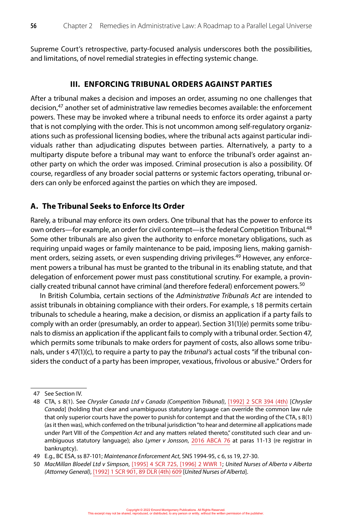Supreme Court's retrospective, party-focused analysis underscores both the possibilities, and limitations, of novel remedial strategies in effecting systemic change.

## **III. ENFORCING TRIBUNAL ORDERS AGAINST PARTIES**

After a tribunal makes a decision and imposes an order, assuming no one challenges that decision,<sup>47</sup> another set of administrative law remedies becomes available: the enforcement powers. These may be invoked where a tribunal needs to enforce its order against a party that is not complying with the order. This is not uncommon among self-regulatory organizations such as professional licensing bodies, where the tribunal acts against particular individuals rather than adjudicating disputes between parties. Alternatively, a party to a multiparty dispute before a tribunal may want to enforce the tribunal's order against another party on which the order was imposed. Criminal prosecution is also a possibility. Of course, regardless of any broader social patterns or systemic factors operating, tribunal orders can only be enforced against the parties on which they are imposed.

## **A. The Tribunal Seeks to Enforce Its Order**

Rarely, a tribunal may enforce its own orders. One tribunal that has the power to enforce its own orders—for example, an order for civil contempt—is the federal Competition Tribunal.<sup>48</sup> Some other tribunals are also given the authority to enforce monetary obligations, such as requiring unpaid wages or family maintenance to be paid, imposing liens, making garnishment orders, seizing assets, or even suspending driving privileges.<sup>49</sup> However, any enforcement powers a tribunal has must be granted to the tribunal in its enabling statute, and that delegation of enforcement power must pass constitutional scrutiny. For example, a provincially created tribunal cannot have criminal (and therefore federal) enforcement powers.<sup>50</sup>

In British Columbia, certain sections of the *Administrative Tribunals Act* are intended to assist tribunals in obtaining compliance with their orders. For example, s 18 permits certain tribunals to schedule a hearing, make a decision, or dismiss an application if a party fails to comply with an order (presumably, an order to appear). Section 31(1)(e) permits some tribunals to dismiss an application if the applicant fails to comply with a tribunal order. Section 47, which permits some tribunals to make orders for payment of costs, also allows some tribunals, under s 47(1)(c), to require a party to pay the *tribunal's* actual costs "if the tribunal considers the conduct of a party has been improper, vexatious, frivolous or abusive." Orders for

<sup>47</sup> See Section IV.

<sup>48</sup> CTA, s 8(1). See *Chrysler Canada Ltd v Canada (Competition Tribunal)*, [\[1992\] 2 SCR 394 \(4th\)](https://www.canlii.org/en/ca/scc/doc/1992/1992canlii68/1992canlii68.html?resultIndex=1) [*Chrysler Canada*] (holding that clear and unambiguous statutory language can override the common law rule that only superior courts have the power to punish for contempt and that the wording of the CTA, s 8(1) (as it then was), which conferred on the tribunal jurisdiction "to hear and determine all applications made under Part VIII of the *Competition Act* and any matters related thereto," constituted such clear and unambiguous statutory language); also *Lymer v Jonsson*, [2016 ABCA 76](https://www.canlii.org/en/ab/abca/doc/2016/2016abca76/2016abca76.html) at paras 11-13 (re registrar in bankruptcy).

<sup>49</sup> E.g., BC ESA, ss 87-101; *Maintenance Enforcement Act*, SNS 1994-95, c 6, ss 19, 27-30.

<sup>50</sup> *MacMillan Bloedel Ltd v Simpson*, [\[1995\] 4 SCR 725, \[1996\] 2 WWR 1](https://www.canlii.org/en/ca/scc/doc/1995/1995canlii57/1995canlii57.html?autocompleteStr=MacMillan Bloedel Ltd v Simpson%2C %5B1995%5D 4 SCR 725%2C %5B1996%5D 2 WWR 1&autocompletePos=1); *United Nurses of Alberta v Alberta (Attorney General)*, [\[1992\] 1 SCR 901, 89 DLR \(4th\) 609](https://www.canlii.org/en/ca/scc/doc/1992/1992canlii99/1992canlii99.html?resultIndex=1) [*United Nurses of Alberta*].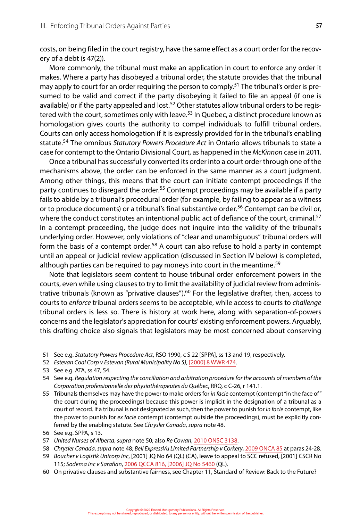costs, on being filed in the court registry, have the same effect as a court order for the recovery of a debt (s 47(2)).

More commonly, the tribunal must make an application in court to enforce any order it makes. Where a party has disobeyed a tribunal order, the statute provides that the tribunal may apply to court for an order requiring the person to comply.<sup>51</sup> The tribunal's order is presumed to be valid and correct if the party disobeying it failed to file an appeal (if one is available) or if the party appealed and lost.<sup>52</sup> Other statutes allow tribunal orders to be registered with the court, sometimes only with leave.<sup>53</sup> In Quebec, a distinct procedure known as homologation gives courts the authority to compel individuals to fulfill tribunal orders. Courts can only access homologation if it is expressly provided for in the tribunal's enabling statute.54 The omnibus *Statutory Powers Procedure Act* in Ontario allows tribunals to state a case for contempt to the Ontario Divisional Court, as happened in the *McKinnon* case in 2011.

Once a tribunal has successfully converted its order into a court order through one of the mechanisms above, the order can be enforced in the same manner as a court judgment. Among other things, this means that the court can initiate contempt proceedings if the party continues to disregard the order.<sup>55</sup> Contempt proceedings may be available if a party fails to abide by a tribunal's procedural order (for example, by failing to appear as a witness or to produce documents) or a tribunal's final substantive order.<sup>56</sup> Contempt can be civil or, where the conduct constitutes an intentional public act of defiance of the court, criminal.<sup>57</sup> In a contempt proceeding, the judge does not inquire into the validity of the tribunal's underlying order. However, only violations of "clear and unambiguous" tribunal orders will form the basis of a contempt order.<sup>58</sup> A court can also refuse to hold a party in contempt until an appeal or judicial review application (discussed in Section IV below) is completed, although parties can be required to pay moneys into court in the meantime.<sup>59</sup>

Note that legislators seem content to house tribunal order enforcement powers in the courts, even while using clauses to try to limit the availability of judicial review from administrative tribunals (known as "privative clauses").<sup>60</sup> For the legislative drafter, then, access to courts to *enforce* tribunal orders seems to be acceptable, while access to courts to *challenge* tribunal orders is less so. There is history at work here, along with separation-of-powers concerns and the legislator's appreciation for courts' existing enforcement powers. Arguably, this drafting choice also signals that legislators may be most concerned about conserving

<sup>51</sup> See e.g. *Statutory Powers Procedure Act*, RSO 1990, c S 22 [SPPA], ss 13 and 19, respectively.

<sup>52</sup> *Estevan Coal Corp v Estevan (Rural Municipality No 5)*, [\[2000\] 8 WWR 474.](https://www.canlii.org/en/sk/skca/doc/2000/2000skca82/2000skca82.html?autocompleteStr=Estevan Coal Corp v Estevan (Rural Municipality No 5)%2C %5B2000%5D 8 WWR 474&autocompletePos=1)

<sup>53</sup> See e.g. ATA, ss 47, 54.

<sup>54</sup> See e.g. *Regulation respecting the conciliation and arbitration procedure for the accounts of members of the Corporation professionnelle des physiothérapeutes du Québec*, RRQ, c C-26, r 141.1.

<sup>55</sup> Tribunals themselves may have the power to make orders for *in facie* contempt (contempt "in the face of" the court during the proceedings) because this power is implicit in the designation of a tribunal as a court of record. If a tribunal is not designated as such, then the power to punish for *in facie* contempt, like the power to punish for *ex facie* contempt (contempt outside the proceedings), must be explicitly conferred by the enabling statute. See *Chrysler Canada*, *supra* note 48.

<sup>56</sup> See e.g. SPPA, s 13.

<sup>57</sup> *United Nurses of Alberta*, *supra* note 50; also *Re Cowan*, [2010 ONSC 3138.](https://www.canlii.org/en/on/onsc/doc/2010/2010onsc3138/2010onsc3138.html?resultIndex=1)

<sup>58</sup> *Chrysler Canada*, *supra* note 48; *Bell ExpressVu Limited Partnership v Corkery*, [2009 ONCA 85](https://www.canlii.org/en/on/onca/doc/2009/2009onca85/2009onca85.html?resultIndex=1) at paras 24-28.

<sup>59</sup> *Boucher v Logistik Unicorp Inc*, [2001] JQ No 64 (QL) (CA), leave to appeal to SCC refused, [2001] CSCR No 115; *Sodema Inc v Sarafian*, [2006 QCCA 816, \[2006\] JQ No 5460](https://www.canlii.org/fr/qc/qcca/doc/2006/2006qcca816/2006qcca816.html?resultIndex=1) (QL).

<sup>60</sup> On privative clauses and substantive fairness, see Chapter 11, Standard of Review: Back to the Future?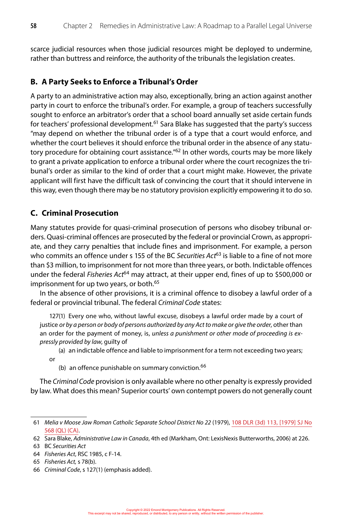scarce judicial resources when those judicial resources might be deployed to undermine, rather than buttress and reinforce, the authority of the tribunals the legislation creates.

## **B. A Party Seeks to Enforce a Tribunal's Order**

A party to an administrative action may also, exceptionally, bring an action against another party in court to enforce the tribunal's order. For example, a group of teachers successfully sought to enforce an arbitrator's order that a school board annually set aside certain funds for teachers' professional development.<sup>61</sup> Sara Blake has suggested that the party's success "may depend on whether the tribunal order is of a type that a court would enforce, and whether the court believes it should enforce the tribunal order in the absence of any statutory procedure for obtaining court assistance."<sup>62</sup> In other words, courts may be more likely to grant a private application to enforce a tribunal order where the court recognizes the tribunal's order as similar to the kind of order that a court might make. However, the private applicant will first have the difficult task of convincing the court that it should intervene in this way, even though there may be no statutory provision explicitly empowering it to do so.

## **C. Criminal Prosecution**

Many statutes provide for quasi-criminal prosecution of persons who disobey tribunal orders. Quasi-criminal offences are prosecuted by the federal or provincial Crown, as appropriate, and they carry penalties that include fines and imprisonment. For example, a person who commits an offence under s 155 of the BC *Securities Act*<sup>63</sup> is liable to a fine of not more than \$3 million, to imprisonment for not more than three years, or both. Indictable offences under the federal *Fisheries Act*64 may attract, at their upper end, fines of up to \$500,000 or imprisonment for up two years, or both.<sup>65</sup>

In the absence of other provisions, it is a criminal offence to disobey a lawful order of a federal or provincial tribunal. The federal *Criminal Code* states:

127(1) Every one who, without lawful excuse, disobeys a lawful order made by a court of justice *or by a person or body of persons authorized by any Act to make or give the order*, other than an order for the payment of money, is, *unless a punishment or other mode of proceeding is expressly provided by law*, guilty of

- (a) an indictable offence and liable to imprisonment for a term not exceeding two years; or
	- (b) an offence punishable on summary conviction.<sup>66</sup>

The *Criminal Code* provision is only available where no other penalty is expressly provided by law. What does this mean? Superior courts' own contempt powers do not generally count

<sup>61</sup> *Melia v Moose Jaw Roman Catholic Separate School District No 22* (1979), [108 DLR \(3d\) 113, \[1979\] SJ No](https://www.canlii.org/en/sk/skca/doc/1979/1979canlii2225/1979canlii2225.html?resultIndex=1)  [568 \(QL\) \(CA\)](https://www.canlii.org/en/sk/skca/doc/1979/1979canlii2225/1979canlii2225.html?resultIndex=1).

<sup>62</sup> Sara Blake, *Administrative Law in Canada*, 4th ed (Markham, Ont: LexisNexis Butterworths, 2006) at 226.

<sup>63</sup> BC *Securities Act*

<sup>64</sup> *Fisheries Act*, RSC 1985, c F-14.

<sup>65</sup> *Fisheries Act,* s 78(b).

<sup>66</sup> *Criminal Code*, s 127(1) (emphasis added).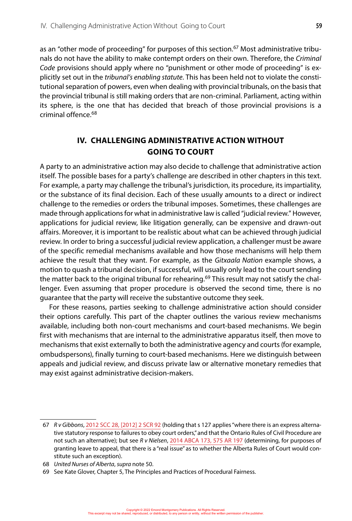as an "other mode of proceeding" for purposes of this section.<sup>67</sup> Most administrative tribunals do not have the ability to make contempt orders on their own. Therefore, the *Criminal Code* provisions should apply where no "punishment or other mode of proceeding" is explicitly set out in the *tribunal's enabling statute*. This has been held not to violate the constitutional separation of powers, even when dealing with provincial tribunals, on the basis that the provincial tribunal is still making orders that are non-criminal. Parliament, acting within its sphere, is the one that has decided that breach of those provincial provisions is a criminal offence.68

# **IV. CHALLENGING ADMINISTRATIVE ACTION WITHOUT GOING TO COURT**

A party to an administrative action may also decide to challenge that administrative action itself. The possible bases for a party's challenge are described in other chapters in this text. For example, a party may challenge the tribunal's jurisdiction, its procedure, its impartiality, or the substance of its final decision. Each of these usually amounts to a direct or indirect challenge to the remedies or orders the tribunal imposes. Sometimes, these challenges are made through applications for what in administrative law is called "judicial review." However, applications for judicial review, like litigation generally, can be expensive and drawn-out affairs. Moreover, it is important to be realistic about what can be achieved through judicial review. In order to bring a successful judicial review application, a challenger must be aware of the specific remedial mechanisms available and how those mechanisms will help them achieve the result that they want. For example, as the *Gitxaala Nation* example shows, a motion to quash a tribunal decision, if successful, will usually only lead to the court sending the matter back to the original tribunal for rehearing.<sup>69</sup> This result may not satisfy the challenger. Even assuming that proper procedure is observed the second time, there is no guarantee that the party will receive the substantive outcome they seek.

For these reasons, parties seeking to challenge administrative action should consider their options carefully. This part of the chapter outlines the various review mechanisms available, including both non-court mechanisms and court-based mechanisms. We begin first with mechanisms that are internal to the administrative apparatus itself, then move to mechanisms that exist externally to both the administrative agency and courts (for example, ombudspersons), finally turning to court-based mechanisms. Here we distinguish between appeals and judicial review, and discuss private law or alternative monetary remedies that may exist against administrative decision-makers.

<sup>67</sup> *R v Gibbons*, [2012 SCC 28, \[2012\] 2 SCR 92](https://www.canlii.org/en/ca/scc/doc/2012/2012scc28/2012scc28.html?resultIndex=1) (holding that s 127 applies "where there is an express alternative statutory response to failures to obey court orders," and that the Ontario Rules of Civil Procedure are not such an alternative); but see *R v Nielsen*, [2014 ABCA 173, 575 AR 197](https://www.canlii.org/en/ab/abca/doc/2014/2014abca173/2014abca173.html?autocompleteStr=R v Nielsen%2C 2014 ABCA 173%2C %5B2014%5D 575 AR 197 &autocompletePos=1) (determining, for purposes of granting leave to appeal, that there is a "real issue" as to whether the Alberta Rules of Court would constitute such an exception).

<sup>68</sup> *United Nurses of Alberta*, *supra* note 50.

<sup>69</sup> See Kate Glover, Chapter 5, The Principles and Practices of Procedural Fairness.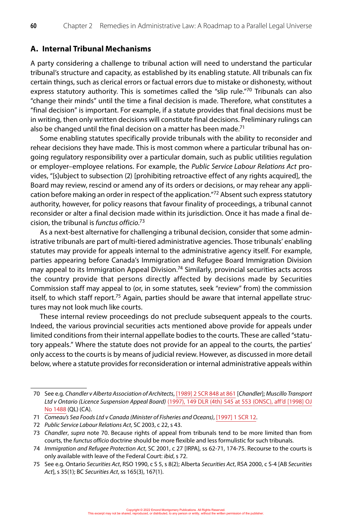#### **A. Internal Tribunal Mechanisms**

A party considering a challenge to tribunal action will need to understand the particular tribunal's structure and capacity, as established by its enabling statute. All tribunals can fix certain things, such as clerical errors or factual errors due to mistake or dishonesty, without express statutory authority. This is sometimes called the "slip rule."70 Tribunals can also "change their minds" until the time a final decision is made. Therefore, what constitutes a "final decision" is important. For example, if a statute provides that final decisions must be in writing, then only written decisions will constitute final decisions. Preliminary rulings can also be changed until the final decision on a matter has been made. $71$ 

Some enabling statutes specifically provide tribunals with the ability to reconsider and rehear decisions they have made. This is most common where a particular tribunal has ongoing regulatory responsibility over a particular domain, such as public utilities regulation or employer–employee relations. For example, the *Public Service Labour Relations Act* provides, "[s]ubject to subsection (2) [prohibiting retroactive effect of any rights acquired], the Board may review, rescind or amend any of its orders or decisions, or may rehear any application before making an order in respect of the application."<sup>72</sup> Absent such express statutory authority, however, for policy reasons that favour finality of proceedings, a tribunal cannot reconsider or alter a final decision made within its jurisdiction. Once it has made a final decision, the tribunal is *functus officio*. 73

As a next-best alternative for challenging a tribunal decision, consider that some administrative tribunals are part of multi-tiered administrative agencies. Those tribunals' enabling statutes may provide for appeals internal to the administrative agency itself. For example, parties appearing before Canada's Immigration and Refugee Board Immigration Division may appeal to its Immigration Appeal Division.<sup>74</sup> Similarly, provincial securities acts across the country provide that persons directly affected by decisions made by Securities Commission staff may appeal to (or, in some statutes, seek "review" from) the commission itself, to which staff report.<sup>75</sup> Again, parties should be aware that internal appellate structures may not look much like courts.

These internal review proceedings do not preclude subsequent appeals to the courts. Indeed, the various provincial securities acts mentioned above provide for appeals under limited conditions from their internal appellate bodies to the courts. These are called "statutory appeals." Where the statute does not provide for an appeal to the courts, the parties' only access to the courts is by means of judicial review. However, as discussed in more detail below, where a statute provides for reconsideration or internal administrative appeals within

<sup>70</sup> See e.g. *Chandler v Alberta Association of Architects*, [\[1989\] 2 SCR 848 at 861](https://www.canlii.org/en/ca/scc/doc/1989/1989canlii41/1989canlii41.html?resultIndex=3) [*Chandler*]; *Muscillo Transport Ltd v Ontario (Licence Suspension Appeal Board)* [\(1997\), 149 DLR \(4th\) 545 at 553 \(ONSC\), aff'd \[1998\] OJ](https://www.canlii.org/en/on/onsc/doc/1997/1997canlii12317/1997canlii12317.html?resultIndex=1)  [No 1488](https://www.canlii.org/en/on/onsc/doc/1997/1997canlii12317/1997canlii12317.html?resultIndex=1) (QL) (CA).

<sup>71</sup> *Comeau's Sea Foods Ltd v Canada (Minister of Fisheries and Oceans)*, [\[1997\] 1 SCR 12.](https://www.canlii.org/en/ca/scc/doc/1997/1997canlii399/1997canlii399.html?autocompleteStr=Comeau Sea&autocompletePos=1)

<sup>72</sup> *Public Service Labour Relations Act*, SC 2003, c 22, s 43.

<sup>73</sup> *Chandler*, *supra* note 70. Because rights of appeal from tribunals tend to be more limited than from courts, the *functus officio* doctrine should be more flexible and less formulistic for such tribunals.

<sup>74</sup> *Immigration and Refugee Protection Act*, SC 2001, c 27 [IRPA], ss 62-71, 174-75. Recourse to the courts is only available with leave of the Federal Court: *ibid*, s 72.

<sup>75</sup> See e.g. Ontario *Securities Act*, RSO 1990, c S 5, s 8(2); Alberta *Securities Act*, RSA 2000, c S-4 [AB *Securities Act*], s 35(1); BC *Securities Act*, ss 165(3), 167(1).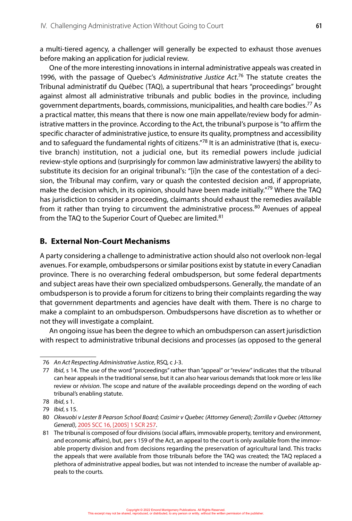a multi-tiered agency, a challenger will generally be expected to exhaust those avenues before making an application for judicial review.

One of the more interesting innovations in internal administrative appeals was created in 1996, with the passage of Quebec's *Administrative Justice Act*. 76 The statute creates the Tribunal administratif du Québec (TAQ), a supertribunal that hears "proceedings" brought against almost all administrative tribunals and public bodies in the province, including government departments, boards, commissions, municipalities, and health care bodies.<sup>77</sup> As a practical matter, this means that there is now one main appellate/review body for administrative matters in the province. According to the Act, the tribunal's purpose is "to affirm the specific character of administrative justice, to ensure its quality, promptness and accessibility and to safequard the fundamental rights of citizens."<sup>78</sup> It is an administrative (that is, executive branch) institution, not a judicial one, but its remedial powers include judicial review-style options and (surprisingly for common law administrative lawyers) the ability to substitute its decision for an original tribunal's: "[i]n the case of the contestation of a decision, the Tribunal may confirm, vary or quash the contested decision and, if appropriate, make the decision which, in its opinion, should have been made initially."<sup>79</sup> Where the TAQ has jurisdiction to consider a proceeding, claimants should exhaust the remedies available from it rather than trying to circumvent the administrative process.<sup>80</sup> Avenues of appeal from the TAQ to the Superior Court of Quebec are limited.<sup>81</sup>

## **B. External Non-Court Mechanisms**

A party considering a challenge to administrative action should also not overlook non-legal avenues. For example, ombudspersons or similar positions exist by statute in every Canadian province. There is no overarching federal ombudsperson, but some federal departments and subject areas have their own specialized ombudspersons. Generally, the mandate of an ombudsperson is to provide a forum for citizens to bring their complaints regarding the way that government departments and agencies have dealt with them. There is no charge to make a complaint to an ombudsperson. Ombudspersons have discretion as to whether or not they will investigate a complaint.

An ongoing issue has been the degree to which an ombudsperson can assert jurisdiction with respect to administrative tribunal decisions and processes (as opposed to the general

<sup>76</sup> *An Act Respecting Administrative Justice*, RSQ, c J-3.

<sup>77</sup> *Ibid*, s 14. The use of the word "proceedings" rather than "appeal" or "review" indicates that the tribunal can hear appeals in the traditional sense, but it can also hear various demands that look more or less like review or *révision*. The scope and nature of the available proceedings depend on the wording of each tribunal's enabling statute.

<sup>78</sup> *Ibid*, s 1.

<sup>79</sup> *Ibid*, s 15.

<sup>80</sup> *Okwuobi v Lester B Pearson School Board; Casimir v Quebec (Attorney General); Zorrilla v Quebec (Attorney General)*, [2005 SCC 16, \[2005\] 1 SCR 257](https://www.canlii.org/en/ca/scc/doc/2005/2005scc16/2005scc16.html?resultIndex=1).

<sup>81</sup> The tribunal is composed of four divisions (social affairs, immovable property, territory and environment, and economic affairs), but, per s 159 of the Act, an appeal to the court is only available from the immovable property division and from decisions regarding the preservation of agricultural land. This tracks the appeals that were available from those tribunals before the TAQ was created; the TAQ replaced a plethora of administrative appeal bodies, but was not intended to increase the number of available appeals to the courts.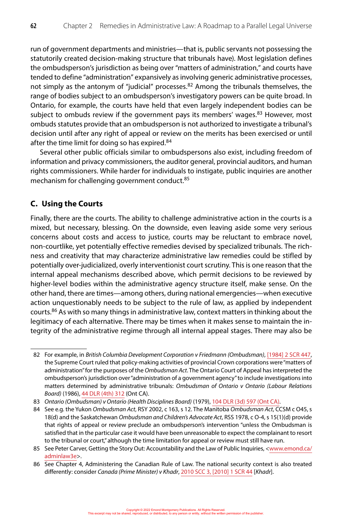run of government departments and ministries—that is, public servants not possessing the statutorily created decision-making structure that tribunals have). Most legislation defines the ombudsperson's jurisdiction as being over "matters of administration," and courts have tended to define "administration" expansively as involving generic administrative processes, not simply as the antonym of "judicial" processes. $82$  Among the tribunals themselves, the range of bodies subject to an ombudsperson's investigatory powers can be quite broad. In Ontario, for example, the courts have held that even largely independent bodies can be subject to ombuds review if the government pays its members' wages.<sup>83</sup> However, most ombuds statutes provide that an ombudsperson is not authorized to investigate a tribunal's decision until after any right of appeal or review on the merits has been exercised or until after the time limit for doing so has expired.<sup>84</sup>

Several other public officials similar to ombudspersons also exist, including freedom of information and privacy commissioners, the auditor general, provincial auditors, and human rights commissioners. While harder for individuals to instigate, public inquiries are another mechanism for challenging government conduct.<sup>85</sup>

## **C. Using the Courts**

Finally, there are the courts. The ability to challenge administrative action in the courts is a mixed, but necessary, blessing. On the downside, even leaving aside some very serious concerns about costs and access to justice, courts may be reluctant to embrace novel, non-courtlike, yet potentially effective remedies devised by specialized tribunals. The richness and creativity that may characterize administrative law remedies could be stifled by potentially over-judicialized, overly interventionist court scrutiny. This is one reason that the internal appeal mechanisms described above, which permit decisions to be reviewed by higher-level bodies within the administrative agency structure itself, make sense. On the other hand, there are times—among others, during national emergencies—when executive action unquestionably needs to be subject to the rule of law, as applied by independent courts.<sup>86</sup> As with so many things in administrative law, context matters in thinking about the legitimacy of each alternative. There may be times when it makes sense to maintain the integrity of the administrative regime through all internal appeal stages. There may also be

<sup>82</sup> For example, in *British Columbia Development Corporation v Friedmann (Ombudsman)*, [\[1984\] 2 SCR 447](https://www.canlii.org/en/ca/scc/doc/1984/1984canlii121/1984canlii121.html?autocompleteStr=British Columbia Development Corporation v Friedmann (Ombudsman)%2C %5B1984%5D 2 SCR 447&autocompletePos=1), the Supreme Court ruled that policy-making activities of provincial Crown corporations were "matters of administration" for the purposes of the *Ombudsman Act*. The Ontario Court of Appeal has interpreted the ombudsperson's jurisdiction over "administration of a government agency" to include investigations into matters determined by administrative tribunals: *Ombudsman of Ontario v Ontario (Labour Relations Board)* (1986), [44 DLR \(4th\) 312](https://www.canlii.org/en/on/onca/doc/1986/1986canlii2710/1986canlii2710.html?autocompleteStr=Ombudsman of Ontario v Ontario (Labour Relations Board) &autocompletePos=1) (Ont CA).

<sup>83</sup> *Ontario (Ombudsman) v Ontario (Health Disciplines Board)* (1979), [104 DLR \(3d\) 597 \(Ont CA\)](https://www.canlii.org/en/on/onca/doc/1979/1979canlii1763/1979canlii1763.html?autocompleteStr=104 DLR (3d) 597&autocompletePos=1).

<sup>84</sup> See e.g. the Yukon *Ombudsman Act*, RSY 2002, c 163, s 12. The Manitoba *Ombudsman Act*, CCSM c O45, s 18(d) and the Saskatchewan *Ombudsman and Children's Advocate Act*, RSS 1978, c O-4, s 15(1)(d) provide that rights of appeal or review preclude an ombudsperson's intervention "unless the Ombudsman is satisfied that in the particular case it would have been unreasonable to expect the complainant to resort to the tribunal or court," although the time limitation for appeal or review must still have run.

<sup>85</sup> See Peter Carver, Getting the Story Out: Accountability and the Law of Public Inquiries, [<www.emond.ca/](http://www.emond.ca/adminlaw3e) [adminlaw3e](http://www.emond.ca/adminlaw3e)>.

<sup>86</sup> See Chapter 4, Administering the Canadian Rule of Law. The national security context is also treated differently: consider *Canada (Prime Minister) v Khadr*, [2010 SCC 3, \[2010\] 1 SCR 44 \[](https://www.canlii.org/en/ca/scc/doc/2010/2010scc3/2010scc3.html?autocompleteStr=Canada (Prime Minister) v Khadr%2C 2010 SCC 3%2C %5B2010%5D 1 SCR 44 %5BKhadr%5D.&autocompletePos=1)*Khadr*].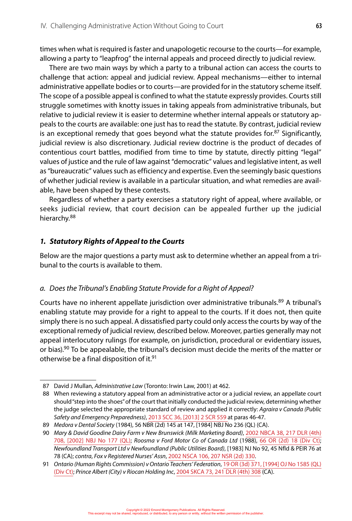times when what is required is faster and unapologetic recourse to the courts—for example, allowing a party to "leapfrog" the internal appeals and proceed directly to judicial review.

There are two main ways by which a party to a tribunal action can access the courts to challenge that action: appeal and judicial review. Appeal mechanisms—either to internal administrative appellate bodies or to courts—are provided for in the statutory scheme itself. The scope of a possible appeal is confined to what the statute expressly provides. Courts still struggle sometimes with knotty issues in taking appeals from administrative tribunals, but relative to judicial review it is easier to determine whether internal appeals or statutory appeals to the courts are available: one just has to read the statute. By contrast, judicial review is an exceptional remedy that goes beyond what the statute provides for. $87$  Significantly, judicial review is also discretionary. Judicial review doctrine is the product of decades of contentious court battles, modified from time to time by statute, directly pitting "legal" values of justice and the rule of law against "democratic" values and legislative intent, as well as "bureaucratic" values such as efficiency and expertise. Even the seemingly basic questions of whether judicial review is available in a particular situation, and what remedies are available, have been shaped by these contests.

Regardless of whether a party exercises a statutory right of appeal, where available, or seeks judicial review, that court decision can be appealed further up the judicial hierarchy.<sup>88</sup>

#### *1. Statutory Rights of Appeal to the Courts*

Below are the major questions a party must ask to determine whether an appeal from a tribunal to the courts is available to them.

#### *a. Does the Tribunal's Enabling Statute Provide for a Right of Appeal?*

Courts have no inherent appellate jurisdiction over administrative tribunals.<sup>89</sup> A tribunal's enabling statute may provide for a right to appeal to the courts. If it does not, then quite simply there is no such appeal. A dissatisfied party could only access the courts by way of the exceptional remedy of judicial review, described below. Moreover, parties generally may not appeal interlocutory rulings (for example, on jurisdiction, procedural or evidentiary issues, or bias).<sup>90</sup> To be appealable, the tribunal's decision must decide the merits of the matter or otherwise be a final disposition of it.<sup>91</sup>

<sup>87</sup> David J Mullan, *Administrative Law* (Toronto: Irwin Law, 2001) at 462.

<sup>88</sup> When reviewing a statutory appeal from an administrative actor or a judicial review, an appellate court should "step into the shoes" of the court that initially conducted the judicial review, determining whether the judge selected the appropriate standard of review and applied it correctly: *Agraira v Canada (Public Safety and Emergency Preparedness)*, [2013 SCC 36, \[2013\] 2 SCR 559](https://www.canlii.org/en/ca/scc/doc/2013/2013scc36/2013scc36.html) at paras 46-47.

<sup>89</sup> *Medora v Dental Society* (1984), 56 NBR (2d) 145 at 147, [1984] NBJ No 236 (QL) (CA).

<sup>90</sup> *Mary & David Goodine Dairy Farm v New Brunswick (Milk Marketing Board)*, [2002 NBCA 38, 217 DLR \(4th\)](http://canlii.ca/t/5k9m) [708, \[2002\] NBJ No 177](http://canlii.ca/t/5k9m) (QL); *Roosma v Ford Motor Co of Canada Ltd* (1988), [66 OR \(2d\) 18 \(Div Ct\)](https://www.canlii.org/en/on/onscdc/doc/1988/1988canlii5633/1988canlii5633.html?resultIndex=1); *Newfoundland Transport Ltd v Newfoundland (Public Utilities Board)*, [1983] NJ No 92, 45 Nfld & PEIR 76 at 78 (CA); *contra*, *Fox v Registered Nurses' Assn*, [2002 NSCA 106, 207 NSR \(2d\) 330.](http://canlii.ca/t/5jcj)

<sup>91</sup> *Ontario (Human Rights Commission) v Ontario Teachers' Federation*, [19 OR \(3d\) 371, \[1994\] OJ No 1585 \(QL\)](https://www.canlii.org/en/on/onsc/doc/1994/1994canlii10578/1994canlii10578.html?autocompleteStr=Ontario (Human Rights Commission) v Ontario Teachers%27 Federation%2C &autocompletePos=1) [\(Div Ct\);](https://www.canlii.org/en/on/onsc/doc/1994/1994canlii10578/1994canlii10578.html?autocompleteStr=Ontario (Human Rights Commission) v Ontario Teachers%27 Federation%2C &autocompletePos=1) *Prince Albert (City) v Riocan Holding Inc*, [2004 SKCA 73, 241 DLR \(4th\) 308](https://www.canlii.org/en/sk/skca/doc/2004/2004skca73/2004skca73.html?autocompleteStr=Prince Albert (City) v Riocan Holding Inc&autocompletePos=1) (CA).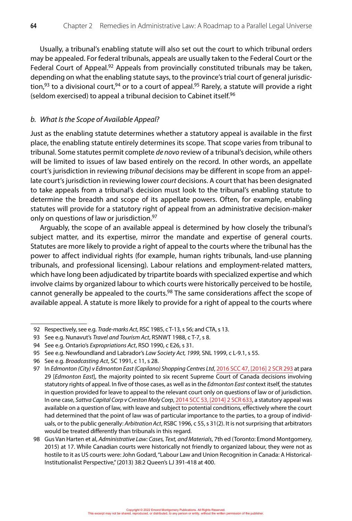Usually, a tribunal's enabling statute will also set out the court to which tribunal orders may be appealed. For federal tribunals, appeals are usually taken to the Federal Court or the Federal Court of Appeal.<sup>92</sup> Appeals from provincially constituted tribunals may be taken, depending on what the enabling statute says, to the province's trial court of general jurisdiction,<sup>93</sup> to a divisional court,<sup>94</sup> or to a court of appeal.<sup>95</sup> Rarely, a statute will provide a right (seldom exercised) to appeal a tribunal decision to Cabinet itself.<sup>96</sup>

## *b. What Is the Scope of Available Appeal?*

Just as the enabling statute determines whether a statutory appeal is available in the first place, the enabling statute entirely determines its scope. That scope varies from tribunal to tribunal. Some statutes permit complete *de novo* review of a tribunal's decision, while others will be limited to issues of law based entirely on the record. In other words, an appellate court's jurisdiction in reviewing *tribunal* decisions may be different in scope from an appellate court's jurisdiction in reviewing lower *court* decisions. A court that has been designated to take appeals from a tribunal's decision must look to the tribunal's enabling statute to determine the breadth and scope of its appellate powers. Often, for example, enabling statutes will provide for a statutory right of appeal from an administrative decision-maker only on questions of law or jurisdiction.<sup>97</sup>

Arguably, the scope of an available appeal is determined by how closely the tribunal's subject matter, and its expertise, mirror the mandate and expertise of general courts. Statutes are more likely to provide a right of appeal to the courts where the tribunal has the power to affect individual rights (for example, human rights tribunals, land-use planning tribunals, and professional licensing). Labour relations and employment-related matters, which have long been adjudicated by tripartite boards with specialized expertise and which involve claims by organized labour to which courts were historically perceived to be hostile, cannot generally be appealed to the courts.<sup>98</sup> The same considerations affect the scope of available appeal. A statute is more likely to provide for a right of appeal to the courts where

<sup>92</sup> Respectively, see e.g. *Trade-marks Act*, RSC 1985, c T-13, s 56; and CTA, s 13.

<sup>93</sup> See e.g. Nunavut's *Travel and Tourism Act*, RSNWT 1988, c T-7, s 8.

<sup>94</sup> See e.g. Ontario's *Expropriations Act*, RSO 1990, c E26, s 31.

<sup>95</sup> See e.g. Newfoundland and Labrador's *Law Society Act, 1999*, SNL 1999, c L-9.1, s 55.

<sup>96</sup> See e.g. *Broadcasting Act*, SC 1991, c 11, s 28.

<sup>97</sup> In *Edmonton (City) v Edmonton East (Capilano) Shopping Centres Ltd*, [2016 SCC 47, \[2016\] 2 SCR 293](https://www.canlii.org/en/ca/scc/doc/2016/2016scc47/2016scc47.html?autocompleteStr=Edmonton (City) v Edmonton East (Capilano) Shopping Centres Ltd%2C 2016 SCC 47%2C %5B2016%5D 2 SCR 293 &autocompletePos=1) at para 29 [*Edmonton East*], the majority pointed to six recent Supreme Court of Canada decisions involving statutory rights of appeal. In five of those cases, as well as in the *Edmonton East* context itself, the statutes in question provided for leave to appeal to the relevant court only on questions of law or of jurisdiction. In one case, *Sattva Capital Corp v Creston Moly Corp*, [2014 SCC 53, \[2014\] 2 SCR 633](https://www.canlii.org/en/ca/scc/doc/2014/2014scc53/2014scc53.html?resultIndex=1), a statutory appeal was available on a question of law, with leave and subject to potential conditions, effectively where the court had determined that the point of law was of particular importance to the parties, to a group of individuals, or to the public generally: *Arbitration Act*, RSBC 1996, c 55, s 31(2). It is not surprising that arbitrators would be treated differently than tribunals in this regard.

<sup>98</sup> Gus Van Harten et al, *Administrative Law: Cases, Text, and Materials*, 7th ed (Toronto: Emond Montgomery, 2015) at 17. While Canadian courts were historically not friendly to organized labour, they were not as hostile to it as US courts were: John Godard, "Labour Law and Union Recognition in Canada: A Historical-Institutionalist Perspective," (2013) 38:2 Queen's LJ 391-418 at 400.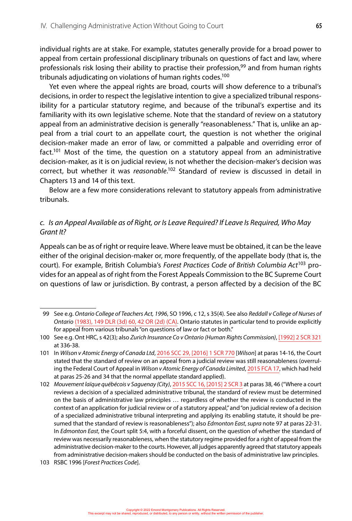individual rights are at stake. For example, statutes generally provide for a broad power to appeal from certain professional disciplinary tribunals on questions of fact and law, where professionals risk losing their ability to practise their profession, $99$  and from human rights tribunals adjudicating on violations of human rights codes.<sup>100</sup>

Yet even where the appeal rights are broad, courts will show deference to a tribunal's decisions, in order to respect the legislative intention to give a specialized tribunal responsibility for a particular statutory regime, and because of the tribunal's expertise and its familiarity with its own legislative scheme. Note that the standard of review on a statutory appeal from an administrative decision is generally "reasonableness." That is, unlike an appeal from a trial court to an appellate court, the question is not whether the original decision-maker made an error of law, or committed a palpable and overriding error of fact.<sup>101</sup> Most of the time, the question on a statutory appeal from an administrative decision-maker, as it is on judicial review, is not whether the decision-maker's decision was correct, but whether it was *reasonable*. 102 Standard of review is discussed in detail in Chapters 13 and 14 of this text.

Below are a few more considerations relevant to statutory appeals from administrative tribunals.

## *c. Is an Appeal Available as of Right, or Is Leave Required? If Leave Is Required, Who May Grant It?*

Appeals can be as of right or require leave. Where leave must be obtained, it can be the leave either of the original decision-maker or, more frequently, of the appellate body (that is, the court). For example, British Columbia's *Forest Practices Code of British Columbia Act*103 provides for an appeal as of right from the Forest Appeals Commission to the BC Supreme Court on questions of law or jurisdiction. By contrast, a person affected by a decision of the BC

<sup>99</sup> See e.g. *Ontario College of Teachers Act, 1996*, SO 1996, c 12, s 35(4). See also *Reddall v College of Nurses of Ontario* [\(1983\), 149 DLR \(3d\) 60, 42 OR \(2d\) \(CA\).](https://www.canlii.org/en/on/onca/doc/1983/1983canlii1947/1983canlii1947.html?resultIndex=1) Ontario statutes in particular tend to provide explicitly for appeal from various tribunals "on questions of law or fact or both."

<sup>100</sup> See e.g. Ont HRC, s 42(3); also *Zurich Insurance Co v Ontario (Human Rights Commission)*, [\[1992\] 2 SCR 321](https://www.canlii.org/en/ca/scc/doc/1992/1992canlii67/1992canlii67.html?resultIndex=2) at 336-38.

<sup>101</sup> In *Wilson v Atomic Energy of Canada Ltd*, [2016 SCC 29, \[2016\] 1 SCR 770](https://www.canlii.org/en/ca/scc/doc/2016/2016scc29/2016scc29.html?autocompleteStr=Wilson v Atomic Energy of Canada Ltd%2C 2016 SCC 29%2C %5B2016%5D 1 SCR 770 &autocompletePos=1) [*Wilson*] at paras 14-16, the Court stated that the standard of review on an appeal from a judicial review was still reasonableness (overruling the Federal Court of Appeal in *Wilson v Atomic Energy of Canada Limited*, [2015 FCA 17](https://www.canlii.org/en/ca/fca/doc/2015/2015fca17/2015fca17.html?resultIndex=1), which had held at paras 25-26 and 34 that the normal appellate standard applied).

<sup>102</sup> *Mouvement laïque québécois v Saguenay (City)*, [2015 SCC 16, \[2015\] 2 SCR 3](https://www.canlii.org/en/ca/scc/doc/2015/2015scc16/2015scc16.html?autocompleteStr=Mouvement la%C3%AFque qu%C3%A9b%C3%A9cois v Saguenay (City)%2C 2015 SCC 16%2C %5B2015%5D 2 SCR 3 &autocompletePos=1) at paras 38, 46 ("Where a court reviews a decision of a specialized administrative tribunal, the standard of review must be determined on the basis of administrative law principles … regardless of whether the review is conducted in the context of an application for judicial review or of a statutory appeal," and "on judicial review of a decision of a specialized administrative tribunal interpreting and applying its enabling statute, it should be presumed that the standard of review is reasonableness"); also *Edmonton East*, *supra* note 97 at paras 22-31. In *Edmonton East*, the Court split 5:4, with a forceful dissent, on the question of whether the standard of review was necessarily reasonableness, when the statutory regime provided for a right of appeal from the administrative decision-maker to the courts. However, all judges apparently agreed that statutory appeals from administrative decision-makers should be conducted on the basis of administrative law principles.

<sup>103</sup> RSBC 1996 [*Forest Practices Code*].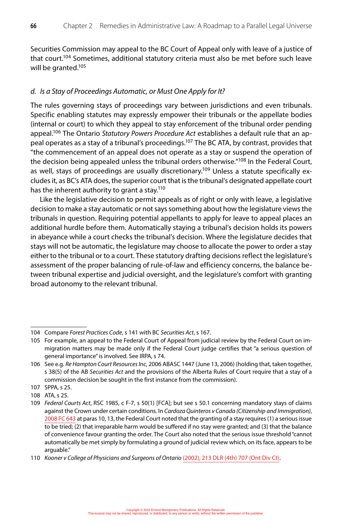Securities Commission may appeal to the BC Court of Appeal only with leave of a justice of that court.<sup>104</sup> Sometimes, additional statutory criteria must also be met before such leave will be granted.<sup>105</sup>

## *d. Is a Stay of Proceedings Automatic, or Must One Apply for It?*

The rules governing stays of proceedings vary between jurisdictions and even tribunals. Specific enabling statutes may expressly empower their tribunals or the appellate bodies (internal or court) to which they appeal to stay enforcement of the tribunal order pending appeal.106 The Ontario *Statutory Powers Procedure Act* establishes a default rule that an appeal operates as a stay of a tribunal's proceedings.<sup>107</sup> The BC ATA, by contrast, provides that "the commencement of an appeal does not operate as a stay or suspend the operation of the decision being appealed unless the tribunal orders otherwise."<sup>108</sup> In the Federal Court, as well, stays of proceedings are usually discretionary.<sup>109</sup> Unless a statute specifically excludes it, as BC's ATA does, the superior court that is the tribunal's designated appellate court has the inherent authority to grant a stay.<sup>110</sup>

Like the legislative decision to permit appeals as of right or only with leave, a legislative decision to make a stay automatic or not says something about how the legislature views the tribunals in question. Requiring potential appellants to apply for leave to appeal places an additional hurdle before them. Automatically staying a tribunal's decision holds its powers in abeyance while a court checks the tribunal's decision. Where the legislature decides that stays will not be automatic, the legislature may choose to allocate the power to order a stay either to the tribunal or to a court. These statutory drafting decisions reflect the legislature's assessment of the proper balancing of rule-of-law and efficiency concerns, the balance between tribunal expertise and judicial oversight, and the legislature's comfort with granting broad autonomy to the relevant tribunal.

<sup>104</sup> Compare *Forest Practices Code*, s 141 with BC *Securities Act*, s 167.

<sup>105</sup> For example, an appeal to the Federal Court of Appeal from judicial review by the Federal Court on immigration matters may be made only if the Federal Court judge certifies that "a serious question of general importance" is involved. See IRPA, s 74.

<sup>106</sup> See e.g. *Re Hampton Court Resources Inc*, 2006 ABASC 1447 (June 13, 2006) (holding that, taken together, s 38(5) of the AB *Securities Act* and the provisions of the Alberta Rules of Court require that a stay of a commission decision be sought in the first instance from the commission).

<sup>107</sup> SPPA, s 25.

<sup>108</sup> ATA, s 25.

<sup>109</sup> *Federal Courts Act*, RSC 1985, c F-7, s 50(1) [FCA]; but see s 50.1 concerning mandatory stays of claims against the Crown under certain conditions. In *Cardoza Quinteros v Canada (Citizenship and Immigration)*, [2008 FC 643](https://www.canlii.org/en/ca/fct/doc/2008/2008fc643/2008fc643.html?resultIndex=1) at paras 10, 13, the Federal Court noted that the granting of a stay requires (1) a serious issue to be tried; (2) that irreparable harm would be suffered if no stay were granted; and (3) that the balance of convenience favour granting the order. The Court also noted that the serious issue threshold "cannot automatically be met simply by formulating a ground of judicial review which, on its face, appears to be arguable."

<sup>110</sup> *Kooner v College of Physicians and Surgeons of Ontario* [\(2002\), 213 DLR \(4th\) 707 \(Ont Div Ct\)](https://www.canlii.org/en/on/onscdc/doc/2002/2002canlii63869/2002canlii63869.html?resultIndex=5).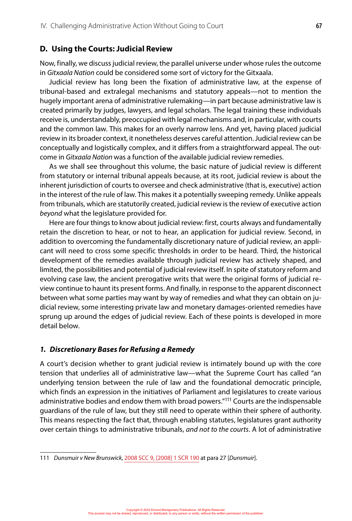#### **D. Using the Courts: Judicial Review**

Now, finally, we discuss judicial review, the parallel universe under whose rules the outcome in *Gitxaala Nation* could be considered some sort of victory for the Gitxaala.

Judicial review has long been the fixation of administrative law, at the expense of tribunal-based and extralegal mechanisms and statutory appeals—not to mention the hugely important arena of administrative rulemaking—in part because administrative law is created primarily by judges, lawyers, and legal scholars. The legal training these individuals receive is, understandably, preoccupied with legal mechanisms and, in particular, with courts and the common law. This makes for an overly narrow lens. And yet, having placed judicial review in its broader context, it nonetheless deserves careful attention. Judicial review can be conceptually and logistically complex, and it differs from a straightforward appeal. The outcome in *Gitxaala Nation* was a function of the available judicial review remedies.

As we shall see throughout this volume, the basic nature of judicial review is different from statutory or internal tribunal appeals because, at its root, judicial review is about the inherent jurisdiction of courts to oversee and check administrative (that is, executive) action in the interest of the rule of law. This makes it a potentially sweeping remedy. Unlike appeals from tribunals, which are statutorily created, judicial review is the review of executive action *beyond* what the legislature provided for.

Here are four things to know about judicial review: first, courts always and fundamentally retain the discretion to hear, or not to hear, an application for judicial review. Second, in addition to overcoming the fundamentally discretionary nature of judicial review, an applicant will need to cross some specific thresholds in order to be heard. Third, the historical development of the remedies available through judicial review has actively shaped, and limited, the possibilities and potential of judicial review itself. In spite of statutory reform and evolving case law, the ancient prerogative writs that were the original forms of judicial review continue to haunt its present forms. And finally, in response to the apparent disconnect between what some parties may want by way of remedies and what they can obtain on judicial review, some interesting private law and monetary damages-oriented remedies have sprung up around the edges of judicial review. Each of these points is developed in more detail below.

#### *1. Discretionary Bases for Refusing a Remedy*

A court's decision whether to grant judicial review is intimately bound up with the core tension that underlies all of administrative law—what the Supreme Court has called "an underlying tension between the rule of law and the foundational democratic principle, which finds an expression in the initiatives of Parliament and legislatures to create various administrative bodies and endow them with broad powers."111 Courts are the indispensable guardians of the rule of law, but they still need to operate within their sphere of authority. This means respecting the fact that, through enabling statutes, legislatures grant authority over certain things to administrative tribunals, *and not to the courts*. A lot of administrative

<sup>111</sup> *Dunsmuir v New Brunswick*, [2008 SCC 9, \[2008\] 1 SCR 190](https://www.canlii.org/en/ca/scc/doc/2008/2008scc9/2008scc9.html?resultIndex=1) at para 27 [*Dunsmuir*].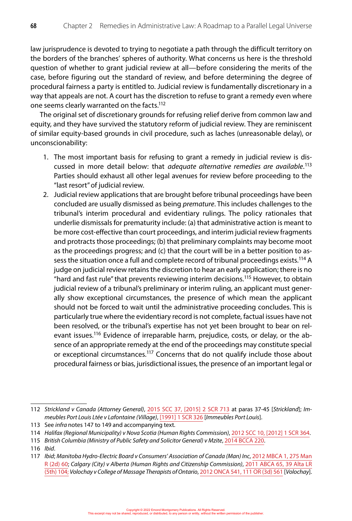law jurisprudence is devoted to trying to negotiate a path through the difficult territory on the borders of the branches' spheres of authority. What concerns us here is the threshold question of whether to grant judicial review at all—before considering the merits of the case, before figuring out the standard of review, and before determining the degree of procedural fairness a party is entitled to. Judicial review is fundamentally discretionary in a way that appeals are not. A court has the discretion to refuse to grant a remedy even where one seems clearly warranted on the facts.<sup>112</sup>

The original set of discretionary grounds for refusing relief derive from common law and equity, and they have survived the statutory reform of judicial review. They are reminiscent of similar equity-based grounds in civil procedure, such as laches (unreasonable delay), or unconscionability:

- 1. The most important basis for refusing to grant a remedy in judicial review is discussed in more detail below: that *adequate alternative remedies are available*. 113 Parties should exhaust all other legal avenues for review before proceeding to the "last resort" of judicial review.
- 2. Judicial review applications that are brought before tribunal proceedings have been concluded are usually dismissed as being *premature*. This includes challenges to the tribunal's interim procedural and evidentiary rulings. The policy rationales that underlie dismissals for prematurity include: (a) that administrative action is meant to be more cost-effective than court proceedings, and interim judicial review fragments and protracts those proceedings; (b) that preliminary complaints may become moot as the proceedings progress; and (c) that the court will be in a better position to assess the situation once a full and complete record of tribunal proceedings exists.<sup>114</sup> A judge on judicial review retains the discretion to hear an early application; there is no "hard and fast rule" that prevents reviewing interim decisions.115 However, to obtain judicial review of a tribunal's preliminary or interim ruling, an applicant must generally show exceptional circumstances, the presence of which mean the applicant should not be forced to wait until the administrative proceeding concludes. This is particularly true where the evidentiary record is not complete, factual issues have not been resolved, or the tribunal's expertise has not yet been brought to bear on relevant issues.<sup>116</sup> Evidence of irreparable harm, prejudice, costs, or delay, or the absence of an appropriate remedy at the end of the proceedings may constitute special or exceptional circumstances.<sup>117</sup> Concerns that do not qualify include those about procedural fairness or bias, jurisdictional issues, the presence of an important legal or

<sup>112</sup> *Strickland v Canada (Attorney General)*, [2015 SCC 37, \[2015\] 2 SCR 713](https://www.canlii.org/en/ca/scc/doc/2015/2015scc37/2015scc37.html?resultIndex=1) at paras 37-45 [*Strickland*]; *Immeubles Port Louis Ltée v Lafontaine (Village)*, [\[1991\] 1 SCR 326](https://www.canlii.org/en/ca/scc/doc/1991/1991canlii82/1991canlii82.html?autocompleteStr=Immeubles Port Louis Lt%C3%A9e v Lafontaine (Village)%2C %5B1991%5D 1 SCR 326&autocompletePos=1) [*Immeubles Port Louis*].

<sup>113</sup> See *infra* notes 147 to 149 and accompanying text.

<sup>114</sup> *Halifax (Regional Municipality) v Nova Scotia (Human Rights Commission)*, [2012 SCC 10, \[2012\] 1 SCR 364.](https://www.canlii.org/en/ca/scc/doc/2012/2012scc10/2012scc10.html?resultIndex=1)

<sup>115</sup> *British Columbia (Ministry of Public Safety and Solicitor General) v Mzite*, [2014 BCCA 220.](https://www.canlii.org/en/bc/bcca/doc/2014/2014bcca220/2014bcca220.html?resultIndex=1)

<sup>116</sup> *Ibid*.

<sup>117</sup> *Ibid*; *Manitoba Hydro-Electric Board v Consumers' Association of Canada (Man) Inc*, [2012 MBCA 1, 275 Man](https://www.canlii.org/en/mb/mbca/doc/2012/2012mbca1/2012mbca1.html?resultIndex=1)  [R \(2d\) 60;](https://www.canlii.org/en/mb/mbca/doc/2012/2012mbca1/2012mbca1.html?resultIndex=1) *Calgary (City) v Alberta (Human Rights and Citizenship Commission)*, [2011 ABCA 65, 39 Alta LR](https://www.canlii.org/en/ab/abca/doc/2011/2011abca65/2011abca65.html?resultIndex=1) [\(5th\) 104;](https://www.canlii.org/en/ab/abca/doc/2011/2011abca65/2011abca65.html?resultIndex=1) *Volochay v College of Massage Therapists of Ontario*, [2012 ONCA 541, 111 OR \(3d\) 561](https://www.canlii.org/en/on/onca/doc/2012/2012onca541/2012onca541.html?resultIndex=1) [*Volochay*].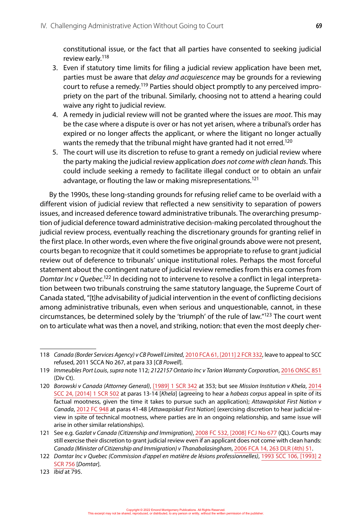constitutional issue, or the fact that all parties have consented to seeking judicial review early.<sup>118</sup>

- 3. Even if statutory time limits for filing a judicial review application have been met, parties must be aware that *delay and acquiescence* may be grounds for a reviewing court to refuse a remedy.<sup>119</sup> Parties should object promptly to any perceived impropriety on the part of the tribunal. Similarly, choosing not to attend a hearing could waive any right to judicial review.
- 4. A remedy in judicial review will not be granted where the issues are *moot*. This may be the case where a dispute is over or has not yet arisen, where a tribunal's order has expired or no longer affects the applicant, or where the litigant no longer actually wants the remedy that the tribunal might have granted had it not erred.<sup>120</sup>
- 5. The court will use its discretion to refuse to grant a remedy on judicial review where the party making the judicial review application *does not come with clean hands*. This could include seeking a remedy to facilitate illegal conduct or to obtain an unfair advantage, or flouting the law or making misrepresentations.<sup>121</sup>

By the 1990s, these long-standing grounds for refusing relief came to be overlaid with a different vision of judicial review that reflected a new sensitivity to separation of powers issues, and increased deference toward administrative tribunals. The overarching presumption of judicial deference toward administrative decision-making percolated throughout the judicial review process, eventually reaching the discretionary grounds for granting relief in the first place. In other words, even where the five original grounds above were not present, courts began to recognize that it could sometimes be appropriate to refuse to grant judicial review out of deference to tribunals' unique institutional roles. Perhaps the most forceful statement about the contingent nature of judicial review remedies from this era comes from *Domtar Inc v Quebec*. 122 In deciding not to intervene to resolve a conflict in legal interpretation between two tribunals construing the same statutory language, the Supreme Court of Canada stated, "[t]he advisability of judicial intervention in the event of conflicting decisions among administrative tribunals, even when serious and unquestionable, cannot, in these circumstances, be determined solely by the 'triumph' of the rule of law."123 The court went on to articulate what was then a novel, and striking, notion: that even the most deeply cher-

<sup>118</sup> *Canada (Border Services Agency) v CB Powell Limited*, [2010 FCA 61, \[2011\] 2 FCR 332](https://www.canlii.org/en/ca/fca/doc/2010/2010fca61/2010fca61.html?resultIndex=1), leave to appeal to SCC refused, 2011 SCCA No 267, at para 33 [*CB Powell*].

<sup>119</sup> *Immeubles Port Louis*, *supra* note 112; *2122157 Ontario Inc v Tarion Warranty Corporation*, [2016 ONSC 851](http://canlii.ca/t/gn6bw) (Div Ct).

<sup>120</sup> *Borowski v Canada (Attorney General)*, [\[1989\] 1 SCR 342](https://www.canlii.org/en/ca/scc/doc/1989/1989canlii123/1989canlii123.html?resultIndex=1) at 353; but see *Mission Institution v Khela*, [2014](https://www.canlii.org/en/ca/scc/doc/2014/2014scc24/2014scc24.html?resultIndex=1) [SCC 24, \[2014\] 1 SCR 502](https://www.canlii.org/en/ca/scc/doc/2014/2014scc24/2014scc24.html?resultIndex=1) at paras 13-14 [*Khela*] (agreeing to hear a *habeas corpus* appeal in spite of its factual mootness, given the time it takes to pursue such an application); *Attawapiskat First Nation v Canada*, [2012 FC 948](https://www.canlii.org/en/ca/fct/doc/2012/2012fc948/2012fc948.html?resultIndex=1) at paras 41-48 [*Attawapiskat First Nation*] (exercising discretion to hear judicial review in spite of technical mootness, where parties are in an ongoing relationship, and same issue will arise in other similar relationships).

<sup>121</sup> See e.g. *Gazlat v Canada (Citizenship and Immigration)*, [2008 FC 532, \[2008\] FCJ No 677](https://www.canlii.org/en/ca/fct/doc/2008/2008fc532/2008fc532.html?resultIndex=1) (QL). Courts may still exercise their discretion to grant judicial review even if an applicant does not come with clean hands: *Canada (Minister of Citizenship and Immigration) v Thanabalasingham*, [2006 FCA 14, 263 DLR \(4th\) 51](https://www.canlii.org/en/ca/fca/doc/2006/2006fca14/2006fca14.html?autocompleteStr=Canada (Minister of Citizenship and Immigration) v Thanabalasingham%2C 2006 FCA 14%2C %5B2006%5D 263 DLR &autocompletePos=1).

<sup>122</sup> *Domtar Inc v Quebec (Commission d'appel en matière de lésions professionnelles)*, [1993 SCC 106, \[1993\] 2](https://www.canlii.org/en/ca/scc/doc/1993/1993canlii106/1993canlii106.html?autocompleteStr=Domtar Inc v Quebec (Commission d%27appel en mati%C3%A8re de l%C3%A9sions professionnelles)%2C %5B1993%5D 2 SCR 756.&autocompletePos=1)  [SCR 756](https://www.canlii.org/en/ca/scc/doc/1993/1993canlii106/1993canlii106.html?autocompleteStr=Domtar Inc v Quebec (Commission d%27appel en mati%C3%A8re de l%C3%A9sions professionnelles)%2C %5B1993%5D 2 SCR 756.&autocompletePos=1) [*Domtar*].

<sup>123</sup> *Ibid* at 795.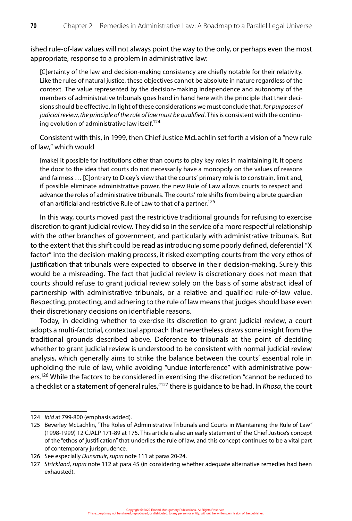ished rule-of-law values will not always point the way to the only, or perhaps even the most appropriate, response to a problem in administrative law:

[C]ertainty of the law and decision-making consistency are chiefly notable for their relativity. Like the rules of natural justice, these objectives cannot be absolute in nature regardless of the context. The value represented by the decision-making independence and autonomy of the members of administrative tribunals goes hand in hand here with the principle that their decisions should be effective. In light of these considerations we must conclude that, *for purposes of judicial review*, *the principle of the rule of law must be qualified*. This is consistent with the continuing evolution of administrative law itself.<sup>124</sup>

Consistent with this, in 1999, then Chief Justice McLachlin set forth a vision of a "new rule of law," which would

[make] it possible for institutions other than courts to play key roles in maintaining it. It opens the door to the idea that courts do not necessarily have a monopoly on the values of reasons and fairness … [C]ontrary to Dicey's view that the courts' primary role is to constrain, limit and, if possible eliminate administrative power, the new Rule of Law allows courts to respect and advance the roles of administrative tribunals. The courts' role shifts from being a brute guardian of an artificial and restrictive Rule of Law to that of a partner.<sup>125</sup>

In this way, courts moved past the restrictive traditional grounds for refusing to exercise discretion to grant judicial review. They did so in the service of a more respectful relationship with the other branches of government, and particularly with administrative tribunals. But to the extent that this shift could be read as introducing some poorly defined, deferential "X factor" into the decision-making process, it risked exempting courts from the very ethos of justification that tribunals were expected to observe in their decision-making. Surely this would be a misreading. The fact that judicial review is discretionary does not mean that courts should refuse to grant judicial review solely on the basis of some abstract ideal of partnership with administrative tribunals, or a relative and qualified rule-of-law value. Respecting, protecting, and adhering to the rule of law means that judges should base even their discretionary decisions on identifiable reasons.

Today, in deciding whether to exercise its discretion to grant judicial review, a court adopts a multi-factorial, contextual approach that nevertheless draws some insight from the traditional grounds described above. Deference to tribunals at the point of deciding whether to grant judicial review is understood to be consistent with normal judicial review analysis, which generally aims to strike the balance between the courts' essential role in upholding the rule of law, while avoiding "undue interference" with administrative powers.<sup>126</sup> While the factors to be considered in exercising the discretion "cannot be reduced to a checklist or a statement of general rules,"127 there is guidance to be had. In *Khosa*, the court

<sup>124</sup> *Ibid* at 799-800 (emphasis added).

<sup>125</sup> Beverley McLachlin, "The Roles of Administrative Tribunals and Courts in Maintaining the Rule of Law" (1998-1999) 12 CJALP 171-89 at 175. This article is also an early statement of the Chief Justice's concept of the "ethos of justification" that underlies the rule of law, and this concept continues to be a vital part of contemporary jurisprudence.

<sup>126</sup> See especially *Dunsmuir*, *supra* note 111 at paras 20-24.

<sup>127</sup> *Strickland*, *supra* note 112 at para 45 (in considering whether adequate alternative remedies had been exhausted).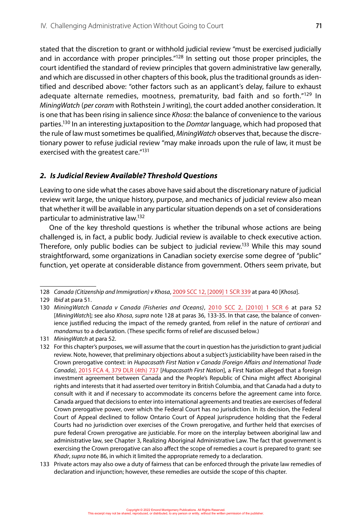stated that the discretion to grant or withhold judicial review "must be exercised judicially and in accordance with proper principles." $128$  In setting out those proper principles, the court identified the standard of review principles that govern administrative law generally, and which are discussed in other chapters of this book, plus the traditional grounds as identified and described above: "other factors such as an applicant's delay, failure to exhaust adequate alternate remedies, mootness, prematurity, bad faith and so forth."<sup>129</sup> In *MiningWatch* (*per coram* with Rothstein J writing), the court added another consideration. It is one that has been rising in salience since *Khosa*: the balance of convenience to the various parties.130 In an interesting juxtaposition to the *Domtar* language, which had proposed that the rule of law must sometimes be qualified, *MiningWatch* observes that, because the discretionary power to refuse judicial review "may make inroads upon the rule of law, it must be exercised with the greatest care."131

#### *2. Is Judicial Review Available? Threshold Questions*

Leaving to one side what the cases above have said about the discretionary nature of judicial review writ large, the unique history, purpose, and mechanics of judicial review also mean that whether it will be available in any particular situation depends on a set of considerations particular to administrative law.132

One of the key threshold questions is whether the tribunal whose actions are being challenged is, in fact, a public body. Judicial review is available to check executive action. Therefore, only public bodies can be subject to judicial review.<sup>133</sup> While this may sound straightforward, some organizations in Canadian society exercise some degree of "public" function, yet operate at considerable distance from government. Others seem private, but

133 Private actors may also owe a duty of fairness that can be enforced through the private law remedies of declaration and injunction; however, these remedies are outside the scope of this chapter.

<sup>128</sup> *Canada (Citizenship and Immigration) v Khosa*, [2009 SCC 12, \[2009\] 1 SCR 339](https://www.canlii.org/en/ca/scc/doc/2009/2009scc12/2009scc12.html?autocompleteStr=Canada (Citizenship and Immigration) v Khosa%2C 2009 SCC 12%2C %5B2009%5D 1 SCR 339 &autocompletePos=1) at para 40 [*Khosa*].

<sup>129</sup> *Ibid* at para 51.

<sup>130</sup> *MiningWatch Canada v Canada (Fisheries and Oceans)*, [2010 SCC 2, \[2010\] 1 SCR 6](https://www.canlii.org/en/ca/scc/doc/2010/2010scc2/2010scc2.html?resultIndex=1) at para 52 [*MiningWatch*]; see also *Khosa*, *supra* note 128 at paras 36, 133-35. In that case, the balance of convenience justified reducing the impact of the remedy granted, from relief in the nature of *certiorari* and *mandamus* to a declaration. (These specific forms of relief are discussed below.)

<sup>131</sup> *MiningWatch* at para 52.

<sup>132</sup> For this chapter's purposes, we will assume that the court in question has the jurisdiction to grant judicial review. Note, however, that preliminary objections about a subject's justiciability have been raised in the Crown prerogative context: in *Hupacasath First Nation v Canada (Foreign Affairs and International Trade Canada)*, [2015 FCA 4, 379 DLR \(4th\) 737](https://www.canlii.org/en/ca/fca/doc/2015/2015fca4/2015fca4.html?autocompleteStr=Hupacasath First Nation v Canada (Foreign Affairs and International Trade Canada)%2C 2015 FCA 4%2C %5B2015%5D 379 DLR (4th) 737%2C&autocompletePos=1) [*Hupacasath First Nation*], a First Nation alleged that a foreign investment agreement between Canada and the People's Republic of China might affect Aboriginal rights and interests that it had asserted over territory in British Columbia, and that Canada had a duty to consult with it and if necessary to accommodate its concerns before the agreement came into force. Canada argued that decisions to enter into international agreements and treaties are exercises of federal Crown prerogative power, over which the Federal Court has no jurisdiction. In its decision, the Federal Court of Appeal declined to follow Ontario Court of Appeal jurisprudence holding that the Federal Courts had no jurisdiction over exercises of the Crown prerogative, and further held that exercises of pure federal Crown prerogative are justiciable. For more on the interplay between aboriginal law and administrative law, see Chapter 3, Realizing Aboriginal Administrative Law. The fact that government is exercising the Crown prerogative can also affect the scope of remedies a court is prepared to grant: see *Khadr*, *supra* note 86, in which it limited the appropriate remedy to a declaration.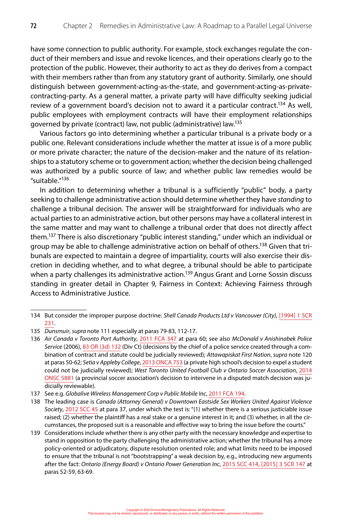have some connection to public authority. For example, stock exchanges regulate the conduct of their members and issue and revoke licences, and their operations clearly go to the protection of the public. However, their authority to act as they do derives from a compact with their members rather than from any statutory grant of authority. Similarly, one should distinguish between government-acting-as-the-state, and government-acting-as-privatecontracting-party. As a general matter, a private party will have difficulty seeking judicial review of a government board's decision not to award it a particular contract.<sup>134</sup> As well, public employees with employment contracts will have their employment relationships governed by private (contract) law, not public (administrative) law.135

Various factors go into determining whether a particular tribunal is a private body or a public one. Relevant considerations include whether the matter at issue is of a more public or more private character; the nature of the decision-maker and the nature of its relationships to a statutory scheme or to government action; whether the decision being challenged was authorized by a public source of law; and whether public law remedies would be "suitable."136

In addition to determining whether a tribunal is a sufficiently "public" body, a party seeking to challenge administrative action should determine whether they have *standing* to challenge a tribunal decision. The answer will be straightforward for individuals who are actual parties to an administrative action, but other persons may have a collateral interest in the same matter and may want to challenge a tribunal order that does not directly affect them.137 There is also discretionary "public interest standing," under which an individual or group may be able to challenge administrative action on behalf of others.<sup>138</sup> Given that tribunals are expected to maintain a degree of impartiality, courts will also exercise their discretion in deciding whether, and to what degree, a tribunal should be able to participate when a party challenges its administrative action.<sup>139</sup> Angus Grant and Lorne Sossin discuss standing in greater detail in Chapter 9, Fairness in Context: Achieving Fairness through Access to Administrative Justice.

<sup>134</sup> But consider the improper purpose doctrine: *Shell Canada Products Ltd v Vancouver (City)*, [\[1994\] 1 SCR](https://www.canlii.org/en/ca/scc/doc/1994/1994canlii115/1994canlii115.html?autocompleteStr=Shell Canada Products Ltd v Vancouver (City)%2C %5B1994%5D 1 SCR 231.&autocompletePos=1) [231](https://www.canlii.org/en/ca/scc/doc/1994/1994canlii115/1994canlii115.html?autocompleteStr=Shell Canada Products Ltd v Vancouver (City)%2C %5B1994%5D 1 SCR 231.&autocompletePos=1).

<sup>135</sup> *Dunsmuir*, *supra* note 111 especially at paras 79-83, 112-17.

<sup>136</sup> *Air Canada v Toronto Port Authority*, [2011 FCA 347](https://www.canlii.org/en/ca/fca/doc/2011/2011fca347/2011fca347.html?autocompleteStr=Air Canada v Toronto Port Authority et al%2C 2011 FCA 347 &autocompletePos=1) at para 60; see also *McDonald v Anishinabek Police Service* (2006), [83 OR \(3d\) 132](https://www.canlii.org/en/on/onscdc/doc/2006/2006canlii37598/2006canlii37598.html?autocompleteStr=McDonald v Anishinabek Police Service &autocompletePos=1) (Div Ct) (decisions by the chief of a police service created through a combination of contract and statute could be judicially reviewed); *Attawapiskat First Nation*, *supra* note 120 at paras 50-62; *Setia v Appleby College*, [2013 ONCA 753](https://www.canlii.org/en/on/onca/doc/2013/2013onca753/2013onca753.html?autocompleteStr=Setia v Appleby College%2C 2013 ONCA 753 &autocompletePos=1) (a private high school's decision to expel a student could not be judicially reviewed); *West Toronto United Football Club v Ontario Soccer Association*, [2014](https://www.canlii.org/en/on/onscdc/doc/2014/2014onsc5881/2014onsc5881.html?autocompleteStr=West Toronto United Football Club v Ontario Soccer Association%2C 2014 ONSC 5881 &autocompletePos=1) [ONSC 5881](https://www.canlii.org/en/on/onscdc/doc/2014/2014onsc5881/2014onsc5881.html?autocompleteStr=West Toronto United Football Club v Ontario Soccer Association%2C 2014 ONSC 5881 &autocompletePos=1) (a provincial soccer association's decision to intervene in a disputed match decision was judicially reviewable).

<sup>137</sup> See e.g. *Globalive Wireless Management Corp v Public Mobile Inc*, [2011 FCA 194.](https://www.canlii.org/en/ca/fca/doc/2011/2011fca194/2011fca194.html?autocompleteStr=Globalive Wireless Management Corp v Public Mobile Inc%2C 2011 FCA 194.&autocompletePos=1)

<sup>138</sup> The leading case is *Canada (Attorney General) v Downtown Eastside Sex Workers United Against Violence Society*, [2012 SCC 45](https://www.canlii.org/en/ca/scc/doc/2012/2012scc45/2012scc45.html?autocompleteStr= Canada (Attorney General) v Downtown Eastside Sex Workers United Against Violence Society%2C 2012 SCC 45&autocompletePos=1) at para 37, under which the test is: "(1) whether there is a serious justiciable issue raised; (2) whether the plaintiff has a real stake or a genuine interest in it; and (3) whether, in all the circumstances, the proposed suit is a reasonable and effective way to bring the issue before the courts."

<sup>139</sup> Considerations include whether there is any other party with the necessary knowledge and expertise to stand in opposition to the party challenging the administrative action; whether the tribunal has a more policy-oriented or adjudicatory, dispute resolution oriented role; and what limits need to be imposed to ensure that the tribunal is not "bootstrapping" a weak decision by, e.g., introducing new arguments after the fact: *Ontario (Energy Board) v Ontario Power Generation Inc*, [2015 SCC 414, \[2015\] 3 SCR 147](https://www.canlii.org/en/ca/scc/doc/2015/2015scc44/2015scc44.html?autocompleteStr=Ontario (Energy Board) v Ontario Power Generation Inc%2C 2015 SCC 14&autocompletePos=1) at paras 52-59, 63-69.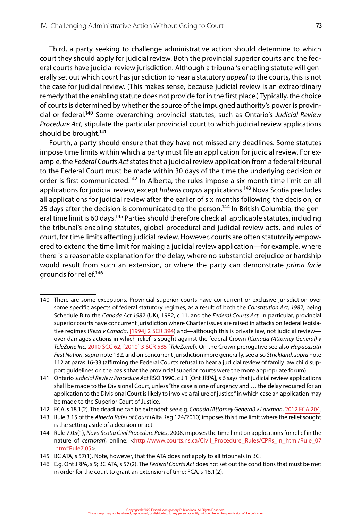Third, a party seeking to challenge administrative action should determine to which court they should apply for judicial review. Both the provincial superior courts and the federal courts have judicial review jurisdiction. Although a tribunal's enabling statute will generally set out which court has jurisdiction to hear a statutory *appeal* to the courts, this is not the case for judicial review. (This makes sense, because judicial review is an extraordinary remedy that the enabling statute does not provide for in the first place.) Typically, the choice of courts is determined by whether the source of the impugned authority's power is provincial or federal.140 Some overarching provincial statutes, such as Ontario's *Judicial Review Procedure Act*, stipulate the particular provincial court to which judicial review applications should be brought. $141$ 

Fourth, a party should ensure that they have not missed any deadlines. Some statutes impose time limits within which a party must file an application for judicial review. For example, the *Federal Courts Act* states that a judicial review application from a federal tribunal to the Federal Court must be made within 30 days of the time the underlying decision or order is first communicated.<sup>142</sup> In Alberta, the rules impose a six-month time limit on all applications for judicial review, except *habeas corpus* applications.143 Nova Scotia precludes all applications for judicial review after the earlier of six months following the decision, or 25 days after the decision is communicated to the person.<sup>144</sup> In British Columbia, the general time limit is 60 days.<sup>145</sup> Parties should therefore check all applicable statutes, including the tribunal's enabling statutes, global procedural and judicial review acts, and rules of court, for time limits affecting judicial review. However, courts are often statutorily empowered to extend the time limit for making a judicial review application—for example, where there is a reasonable explanation for the delay, where no substantial prejudice or hardship would result from such an extension, or where the party can demonstrate *prima facie* grounds for relief.146

<sup>140</sup> There are some exceptions. Provincial superior courts have concurrent or exclusive jurisdiction over some specific aspects of federal statutory regimes, as a result of both the *Constitution Act, 1982*, being Schedule B to the *Canada Act 1982* (UK), 1982, c 11, and the *Federal Courts Act*. In particular, provincial superior courts have concurrent jurisdiction where Charter issues are raised in attacks on federal legislative regimes (*Reza v Canada*, [\[1994\] 2 SCR 394](https://www.canlii.org/en/ca/scc/doc/1994/1994canlii91/1994canlii91.html?autocompleteStr=Reza v Canada%2C %5B1994%5D 2 SCR 394&autocompletePos=1)) and—although this is private law, not judicial review over damages actions in which relief is sought against the federal Crown (*Canada (Attorney General) v TeleZone Inc*, [2010 SCC 62, \[2010\] 3 SCR 585](https://www.canlii.org/en/ca/scc/doc/2010/2010scc62/2010scc62.html?autocompleteStr=Canada (Attorney General) v TeleZone Inc%2C 2010 SCC 62%2C &autocompletePos=1) [*TeleZone*]). On the Crown prerogative see also *Hupacasath First Nation*, *supra* note 132, and on concurrent jurisdiction more generally, see also *Strickland*, *supra* note 112 at paras 16-33 (affirming the Federal Court's refusal to hear a judicial review of family law child support guidelines on the basis that the provincial superior courts were the more appropriate forum).

<sup>141</sup> Ontario *Judicial Review Procedure Act* RSO 1990, c J 1 [Ont JRPA], s 6 says that judicial review applications shall be made to the Divisional Court, unless "the case is one of urgency and … the delay required for an application to the Divisional Court is likely to involve a failure of justice," in which case an application may be made to the Superior Court of Justice.

<sup>142</sup> FCA, s 18.1(2). The deadline can be extended: see e.g. *Canada (Attorney General) v Larkman*, [2012 FCA 204](https://www.canlii.org/en/ca/fca/doc/2012/2012fca204/2012fca204.html?autocompleteStr=Canada (Attorney General) v Larkman%2C 2012 FCA 204.&autocompletePos=1).

<sup>143</sup> Rule 3.15 of the *Alberta Rules of Court* (Alta Reg 124/2010) imposes this time limit where the relief sought is the setting aside of a decision or act.

<sup>144</sup> Rule 7.05(1), *Nova Scotia Civil Procedure Rules*, 2008, imposes the time limit on applications for relief in the nature of *certiorari*, online: [<http://www.courts.ns.ca/Civil\\_Procedure\\_Rules/CPRs\\_in\\_html/Rule\\_07](http://www.courts.ns.ca/Civil_Procedure_Rules/CPRs_in_html/Rule_07.htm#Rule7.05) [.htm#Rule7.05>](http://www.courts.ns.ca/Civil_Procedure_Rules/CPRs_in_html/Rule_07.htm#Rule7.05).

<sup>145</sup> BC ATA, s 57(1). Note, however, that the ATA does not apply to all tribunals in BC.

<sup>146</sup> E.g. Ont JRPA, s 5; BC ATA, s 57(2). The *Federal Courts Act* does not set out the conditions that must be met in order for the court to grant an extension of time: FCA, s 18.1(2).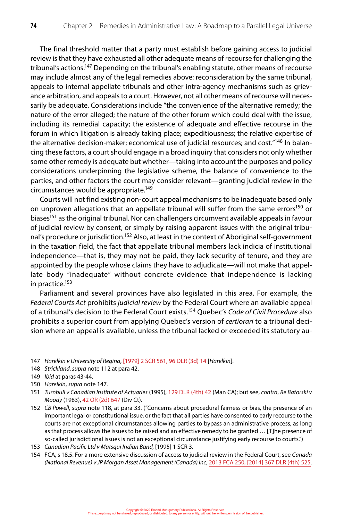The final threshold matter that a party must establish before gaining access to judicial review is that they have exhausted all other adequate means of recourse for challenging the tribunal's actions.<sup>147</sup> Depending on the tribunal's enabling statute, other means of recourse may include almost any of the legal remedies above: reconsideration by the same tribunal, appeals to internal appellate tribunals and other intra-agency mechanisms such as grievance arbitration, and appeals to a court. However, not all other means of recourse will necessarily be adequate. Considerations include "the convenience of the alternative remedy; the nature of the error alleged; the nature of the other forum which could deal with the issue, including its remedial capacity; the existence of adequate and effective recourse in the forum in which litigation is already taking place; expeditiousness; the relative expertise of the alternative decision-maker; economical use of judicial resources; and cost."<sup>148</sup> In balancing these factors, a court should engage in a broad inquiry that considers not only whether some other remedy is adequate but whether—taking into account the purposes and policy considerations underpinning the legislative scheme, the balance of convenience to the parties, and other factors the court may consider relevant—granting judicial review in the circumstances would be appropriate.149

Courts will not find existing non-court appeal mechanisms to be inadequate based only on unproven allegations that an appellate tribunal will suffer from the same errors<sup>150</sup> or biases<sup>151</sup> as the original tribunal. Nor can challengers circumvent available appeals in favour of judicial review by consent, or simply by raising apparent issues with the original tribunal's procedure or jurisdiction.<sup>152</sup> Also, at least in the context of Aboriginal self-government in the taxation field, the fact that appellate tribunal members lack indicia of institutional independence—that is, they may not be paid, they lack security of tenure, and they are appointed by the people whose claims they have to adjudicate—will not make that appellate body "inadequate" without concrete evidence that independence is lacking in practice.153

Parliament and several provinces have also legislated in this area. For example, the *Federal Courts Act* prohibits *judicial review* by the Federal Court where an available appeal of a tribunal's decision to the Federal Court exists.154 Quebec's *Code of Civil Procedure* also prohibits a superior court from applying Quebec's version of *certiorari* to a tribunal decision where an appeal is available, unless the tribunal lacked or exceeded its statutory au-

<sup>147</sup> *Harelkin v University of Regina*, [\[1979\] 2 SCR 561, 96 DLR \(3d\) 14](https://www.canlii.org/en/ca/scc/doc/1979/1979canlii18/1979canlii18.html?autocompleteStr=Harelkin v University of Regina%2C %5B1979%5D 2 SCR 561%2C 96 DLR (3d) 14.&autocompletePos=1) [*Harelkin*].

<sup>148</sup> *Strickland*, *supra* note 112 at para 42.

<sup>149</sup> *Ibid* at paras 43-44.

<sup>150</sup> *Harelkin*, *supra* note 147.

<sup>151</sup> *Turnbull v Canadian Institute of Actuaries* (1995), [129 DLR \(4th\) 42](https://www.canlii.org/en/mb/mbca/doc/1995/1995canlii6265/1995canlii6265.html?autocompleteStr=Turnbull v Canadian Institute of Actuaries (1995)%2C 129 DLR (4th) 42 (Man CA&autocompletePos=1) (Man CA); but see, *contra*, *Re Batorski v Moody* (1983), [42 OR \(2d\) 647](http://canlii.ca/t/g1kj6) (Div Ct).

<sup>152</sup> *CB Powell*, *supra* note 118, at para 33. ("Concerns about procedural fairness or bias, the presence of an important legal or constitutional issue, or the fact that all parties have consented to early recourse to the courts are not exceptional circumstances allowing parties to bypass an administrative process, as long as that process allows the issues to be raised and an effective remedy to be granted … [T]he presence of so-called jurisdictional issues is not an exceptional circumstance justifying early recourse to courts.")

<sup>153</sup> *Canadian Pacific Ltd v Matsqui Indian Band,* [1995] 1 SCR 3.

<sup>154</sup> FCA, s 18.5. For a more extensive discussion of access to judicial review in the Federal Court, see *Canada (National Revenue) v JP Morgan Asset Management (Canada) Inc*, [2013 FCA 250, \[2014\] 367 DLR \(4th\) 525](https://www.canlii.org/en/ca/fca/doc/2013/2013fca250/2013fca250.html?autocompleteStr=Canada (National Revenue) v JP Morgan Asset Management (Canada) Inc%2C 2013 FCA 250%2C %5B2014%5D 367 DLR (4th) 525&autocompletePos=1).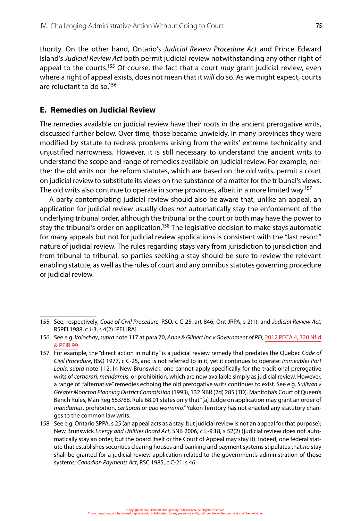thority. On the other hand, Ontario's *Judicial Review Procedure Act* and Prince Edward Island's *Judicial Review Act* both permit judicial review notwithstanding any other right of appeal to the courts.155 Of course, the fact that a court *may* grant judicial review, even where a right of appeal exists, does not mean that it *will* do so. As we might expect, courts are reluctant to do so.<sup>156</sup>

#### **E. Remedies on Judicial Review**

The remedies available on judicial review have their roots in the ancient prerogative writs, discussed further below. Over time, those became unwieldy. In many provinces they were modified by statute to redress problems arising from the writs' extreme technicality and unjustified narrowness. However, it is still necessary to understand the ancient writs to understand the scope and range of remedies available on judicial review. For example, neither the old writs nor the reform statutes, which are based on the old writs, permit a court on judicial review to substitute its views on the substance of a matter for the tribunal's views. The old writs also continue to operate in some provinces, albeit in a more limited way.<sup>157</sup>

A party contemplating judicial review should also be aware that, unlike an appeal, an application for judicial review usually does *not* automatically stay the enforcement of the underlying tribunal order, although the tribunal or the court or both may have the power to stay the tribunal's order on application.<sup>158</sup> The legislative decision to make stays automatic for many appeals but not for judicial review applications is consistent with the "last resort" nature of judicial review. The rules regarding stays vary from jurisdiction to jurisdiction and from tribunal to tribunal, so parties seeking a stay should be sure to review the relevant enabling statute, as well as the rules of court and any omnibus statutes governing procedure or judicial review.

<sup>155</sup> See, respectively, *Code of Civil Procedure*, RSQ, c C-25, art 846; Ont JRPA, s 2(1); and *Judicial Review Act*, RSPEI 1988, c J-3, s 4(2) [PEI JRA].

<sup>156</sup> See e.g. *Volochay*, *supra* note 117 at para 70, *Anne & Gilbert Inc v Government of PEI*, [2012 PECA 4, 320 Nfld](https://www.canlii.org/en/pe/pescad/doc/2012/2012peca4/2012peca4.html?autocompleteStr=Anne %26 Gilbert Inc v Government of PEI%2C 2012 PECA 4%2C %5B2012%5D 320 Nfld %26 PEIR 99.&autocompletePos=1)  [& PEIR 99.](https://www.canlii.org/en/pe/pescad/doc/2012/2012peca4/2012peca4.html?autocompleteStr=Anne %26 Gilbert Inc v Government of PEI%2C 2012 PECA 4%2C %5B2012%5D 320 Nfld %26 PEIR 99.&autocompletePos=1)

<sup>157</sup> For example, the "direct action in nullity" is a judicial review remedy that predates the Quebec *Code of Civil Procedure*, RSQ 1977, c C-25, and is not referred to in it, yet it continues to operate: *Immeubles Port Louis*, *supra* note 112. In New Brunswick, one cannot apply specifically for the traditional prerogative writs of *certiorari*, *mandamus*, or prohibition, which are now available simply as judicial review. However, a range of "alternative" remedies echoing the old prerogative writs continues to exist. See e.g. *Sullivan v Greater Moncton Planning District Commission* (1993), 132 NBR (2d) 285 (TD). Manitoba's Court of Queen's Bench Rules, Man Reg 553/88, Rule 68.01 states only that "[a] Judge on application may grant an order of *mandamus*, prohibition, *certiorari* or *quo warranto*." Yukon Territory has not enacted any statutory changes to the common law writs.

<sup>158</sup> See e.g. Ontario SPPA, s 25 (an appeal acts as a stay, but judicial review is not an appeal for that purpose); New Brunswick *Energy and Utilities Board Act*, SNB 2006, c E-9.18, s 52(2) (judicial review does not automatically stay an order, but the board itself or the Court of Appeal may stay it). Indeed, one federal statute that establishes securities clearing houses and banking and payment systems stipulates that *no* stay shall be granted for a judicial review application related to the government's administration of those systems: *Canadian Payments Act*, RSC 1985, c C-21, s 46.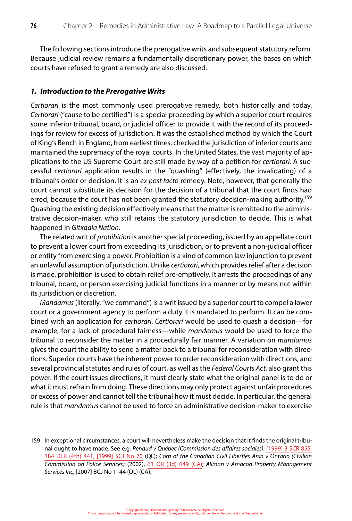The following sections introduce the prerogative writs and subsequent statutory reform. Because judicial review remains a fundamentally discretionary power, the bases on which courts have refused to grant a remedy are also discussed.

#### *1. Introduction to the Prerogative Writs*

*Certiorari* is the most commonly used prerogative remedy, both historically and today. *Certiorari* ("cause to be certified") is a special proceeding by which a superior court requires some inferior tribunal, board, or judicial officer to provide it with the record of its proceedings for review for excess of jurisdiction. It was the established method by which the Court of King's Bench in England, from earliest times, checked the jurisdiction of inferior courts and maintained the supremacy of the royal courts. In the United States, the vast majority of applications to the US Supreme Court are still made by way of a petition for *certiorari*. A successful *certiorari* application results in the "quashing" (effectively, the invalidating) of a tribunal's order or decision. It is an *ex post facto* remedy. Note, however, that generally the court cannot substitute its decision for the decision of a tribunal that the court finds had erred, because the court has not been granted the statutory decision-making authority.<sup>159</sup> Quashing the existing decision effectively means that the matter is remitted to the administrative decision-maker, who still retains the statutory jurisdiction to decide. This is what happened in *Gitxaala Nation*.

The related writ of *prohibition* is another special proceeding, issued by an appellate court to prevent a lower court from exceeding its jurisdiction, or to prevent a non-judicial officer or entity from exercising a power. Prohibition is a kind of common law injunction to prevent an unlawful assumption of jurisdiction. Unlike *certiorari*, which provides relief after a decision is made, prohibition is used to obtain relief pre-emptively. It arrests the proceedings of any tribunal, board, or person exercising judicial functions in a manner or by means not within its jurisdiction or discretion.

*Mandamus* (literally, "we command") is a writ issued by a superior court to compel a lower court or a government agency to perform a duty it is mandated to perform. It can be combined with an application for *certiorari*. *Certiorari* would be used to quash a decision—for example, for a lack of procedural fairness—while *mandamus* would be used to force the tribunal to reconsider the matter in a procedurally fair manner. A variation on *mandamus* gives the court the ability to send a matter back to a tribunal for reconsideration with directions. Superior courts have the inherent power to order reconsideration with directions, and several provincial statutes and rules of court, as well as the *Federal Courts Act*, also grant this power. If the court issues directions, it must clearly state what the original panel is to do or what it must refrain from doing. These directions may only protect against unfair procedures or excess of power and cannot tell the tribunal how it must decide. In particular, the general rule is that *mandamus* cannot be used to force an administrative decision-maker to exercise

<sup>159</sup> In exceptional circumstances, a court will nevertheless make the decision that it finds the original tribunal ought to have made. See e.g. *Renaud v Québec (Commission des affaires sociales)*, [\[1999\] 3 SCR 855,](https://www.canlii.org/en/ca/scc/doc/1999/1999canlii642/1999canlii642.html?autocompleteStr=Renaud v Qu%C3%A9bec (Commission des affaires sociales)%2C %5B1999%5D 3 SCR 855%2C %5B1999%5D SCJ No. 70%2C 184 DLR (4th) 441&autocompletePos=1)  [184 DLR \(4th\) 441, \[1999\] SCJ No 70](https://www.canlii.org/en/ca/scc/doc/1999/1999canlii642/1999canlii642.html?autocompleteStr=Renaud v Qu%C3%A9bec (Commission des affaires sociales)%2C %5B1999%5D 3 SCR 855%2C %5B1999%5D SCJ No. 70%2C 184 DLR (4th) 441&autocompletePos=1) (QL); *Corp of the Canadian Civil Liberties Assn v Ontario (Civilian Commission on Police Services)* (2002), [61 OR \(3d\) 649 \(CA\);](https://www.canlii.org/en/on/onca/doc/2002/2002canlii45090/2002canlii45090.html?autocompleteStr=Corp. of the Canadian Civil Liberties Assn v. Ontario (Civilian Commission on Police Services) (2002)%2C 61 OR (3d) 649 (CA)&autocompletePos=1) *Allman v Amacon Property Management Services Inc*, [2007] BCJ No 1144 (QL) (CA).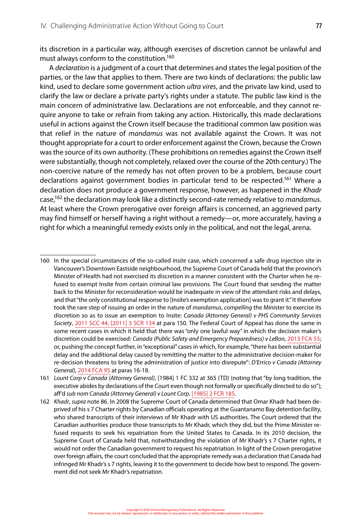its discretion in a particular way, although exercises of discretion cannot be unlawful and must always conform to the constitution.160

A *declaration* is a judgment of a court that determines and states the legal position of the parties, or the law that applies to them. There are two kinds of declarations: the public law kind, used to declare some government action *ultra vires*, and the private law kind, used to clarify the law or declare a private party's rights under a statute. The public law kind is the main concern of administrative law. Declarations are not enforceable, and they cannot require anyone to take or refrain from taking any action. Historically, this made declarations useful in actions against the Crown itself because the traditional common law position was that relief in the nature of *mandamus* was not available against the Crown. It was not thought appropriate for a court to order enforcement against the Crown, because the Crown was the source of its own authority. (These prohibitions on remedies against the Crown itself were substantially, though not completely, relaxed over the course of the 20th century.) The non-coercive nature of the remedy has not often proven to be a problem, because court declarations against government bodies in particular tend to be respected.<sup>161</sup> Where a declaration does not produce a government response, however, as happened in the *Khadr* case,162 the declaration may look like a distinctly second-rate remedy relative to *mandamus*. At least where the Crown prerogative over foreign affairs is concerned, an aggrieved party may find himself or herself having a right without a remedy—or, more accurately, having a right for which a meaningful remedy exists only in the political, and not the legal, arena.

<sup>160</sup> In the special circumstances of the so-called *Insite* case, which concerned a safe drug injection site in Vancouver's Downtown Eastside neighbourhood, the Supreme Court of Canada held that the province's Minister of Health had not exercised its discretion in a manner consistent with the Charter when he refused to exempt Insite from certain criminal law provisions. The Court found that sending the matter back to the Minister for reconsideration would be inadequate in view of the attendant risks and delays, and that "the only constitutional response to [Insite's exemption application] was to grant it." It therefore took the rare step of issuing an order in the nature of *mandamus*, *compelling* the Minister to exercise its discretion so as to issue an exemption to Insite: *Canada (Attorney General) v PHS Community Services Society*, [2011 SCC 44, \[2011\] 3 SCR 134](https://www.canlii.org/en/ca/scc/doc/2011/2011scc44/2011scc44.html?autocompleteStr=Canada (Attorney General) v PHS Community Services Society%2C 2011 SCC 44%2C %5B2011%5D 3 SCR 134&autocompletePos=1) at para 150. The Federal Court of Appeal has done the same in some recent cases in which it held that there was "only one lawful way" in which the decision maker's discretion could be exercised: *Canada (Public Safety and Emergency Preparedness) v LeBon*, [2013 FCA 55](https://www.canlii.org/en/ca/fca/doc/2013/2013fca55/2013fca55.html?autocompleteStr=Canada (Public Safety and Emergency Preparedness) v LeBon%2C 2013 FCA 55&autocompletePos=1); or, pushing the concept further, in "exceptional" cases in which, for example, "there has been substantial delay and the additional delay caused by remitting the matter to the administrative decision-maker for re-decision threatens to bring the administration of justice into disrepute": *D'Errico v Canada (Attorney General)*, [2014 FCA 95](https://www.canlii.org/en/ca/fca/doc/2014/2014fca95/2014fca95.html?autocompleteStr=D%E2%80%99Errico v Canada (Attorney General)%2C 2014 FCA 95 &autocompletePos=1) at paras 16-18.

<sup>161</sup> *Lount Corp v Canada (Attorney General)*, [1984] 1 FC 332 at 365 (TD) (noting that "by long tradition, the executive abides by declarations of the Court even though not formally or specifically directed to do so"); aff'd *sub nom Canada (Attorney General) v Lount Corp*, [\[1985\] 2 FCR 185](https://www.canlii.org/en/ca/fca/doc/1985/1985canlii3094/1985canlii3094.html?autocompleteStr=Canada (Attorney General) v Lount Corp%2C %5B1985%5D &autocompletePos=1).

<sup>162</sup> *Khadr*, *supra* note 86. In 2008 the Supreme Court of Canada determined that Omar Khadr had been deprived of his s 7 Charter rights by Canadian officials operating at the Guantanamo Bay detention facility, who shared transcripts of their interviews of Mr Khadr with US authorities. The Court ordered that the Canadian authorities produce those transcripts to Mr Khadr, which they did, but the Prime Minister refused requests to seek his repatriation from the United States to Canada. In its 2010 decision, the Supreme Court of Canada held that, notwithstanding the violation of Mr Khadr's s 7 Charter rights, it would not order the Canadian government to request his repatriation. In light of the Crown prerogative over foreign affairs, the court concluded that the appropriate remedy was a declaration that Canada had infringed Mr Khadr's s 7 rights, leaving it to the government to decide how best to respond. The government did not seek Mr Khadr's repatriation.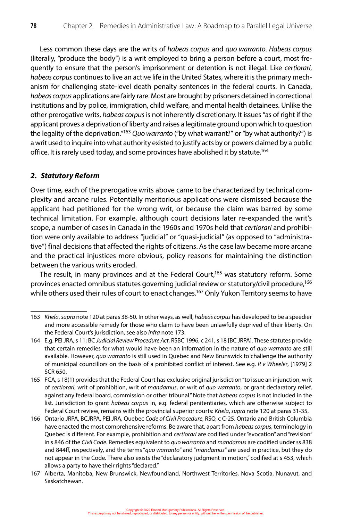Less common these days are the writs of *habeas corpus* and *quo warranto*. *Habeas corpus* (literally, "produce the body") is a writ employed to bring a person before a court, most frequently to ensure that the person's imprisonment or detention is not illegal. Like *certiorari*, *habeas corpus* continues to live an active life in the United States, where it is the primary mechanism for challenging state-level death penalty sentences in the federal courts. In Canada, *habeas corpus* applications are fairly rare. Most are brought by prisoners detained in correctional institutions and by police, immigration, child welfare, and mental health detainees. Unlike the other prerogative writs, *habeas corpus* is not inherently discretionary. It issues "as of right if the applicant proves a deprivation of liberty and raises a legitimate ground upon which to question the legality of the deprivation."163 *Quo warranto* ("by what warrant?" or "by what authority?") is a writ used to inquire into what authority existed to justify acts by or powers claimed by a public office. It is rarely used today, and some provinces have abolished it by statute.<sup>164</sup>

## *2. Statutory Reform*

Over time, each of the prerogative writs above came to be characterized by technical complexity and arcane rules. Potentially meritorious applications were dismissed because the applicant had petitioned for the wrong writ, or because the claim was barred by some technical limitation. For example, although court decisions later re-expanded the writ's scope, a number of cases in Canada in the 1960s and 1970s held that *certiorari* and prohibition were only available to address "judicial" or "quasi-judicial" (as opposed to "administrative") final decisions that affected the rights of citizens. As the case law became more arcane and the practical injustices more obvious, policy reasons for maintaining the distinction between the various writs eroded.

The result, in many provinces and at the Federal Court,<sup>165</sup> was statutory reform. Some provinces enacted omnibus statutes governing judicial review or statutory/civil procedure,166 while others used their rules of court to enact changes.<sup>167</sup> Only Yukon Territory seems to have

<sup>163</sup> *Khela*, *supra* note 120 at paras 38-50. In other ways, as well, *habeas corpus* has developed to be a speedier and more accessible remedy for those who claim to have been unlawfully deprived of their liberty. On the Federal Court's jurisdiction, see also *infra* note 173.

<sup>164</sup> E.g. PEI JRA, s 11; BC *Judicial Review Procedure Act*, RSBC 1996, c 241, s 18 [BC JRPA]. These statutes provide that certain remedies for what would have been an information in the nature of *quo warranto* are still available. However, *quo warranto* is still used in Quebec and New Brunswick to challenge the authority of municipal councillors on the basis of a prohibited conflict of interest. See e.g. *R v Wheeler*, [1979] 2 SCR 650.

<sup>165</sup> FCA, s 18(1) provides that the Federal Court has exclusive original jurisdiction "to issue an injunction, writ of *certiorari*, writ of prohibition, writ of *mandamus*, or writ of *quo warranto*, or grant declaratory relief, against any federal board, commission or other tribunal." Note that *habeas corpus* is not included in the list. Jurisdiction to grant *habeas corpus* in, e.g. federal penitentiaries, which are otherwise subject to Federal Court review, remains with the provincial superior courts: *Khela*, *supra* note 120 at paras 31-35.

<sup>166</sup> Ontario JRPA, BCJRPA, PEI JRA, Quebec *Code of Civil Procedure*, RSQ, c C-25. Ontario and British Columbia have enacted the most comprehensive reforms. Be aware that, apart from *habeas corpus*, terminology in Quebec is different. For example, prohibition and *certiorari* are codified under "evocation" and "revision" in s 846 of the *Civil Code*. Remedies equivalent to *quo warranto* and *mandamus* are codified under ss 838 and 844ff, respectively, and the terms "*quo warranto*" and "*mandamus*" are used in practice, but they do not appear in the Code. There also exists the "declaratory judgment in motion," codified at s 453, which allows a party to have their rights "declared."

<sup>167</sup> Alberta, Manitoba, New Brunswick, Newfoundland, Northwest Territories, Nova Scotia, Nunavut, and Saskatchewan.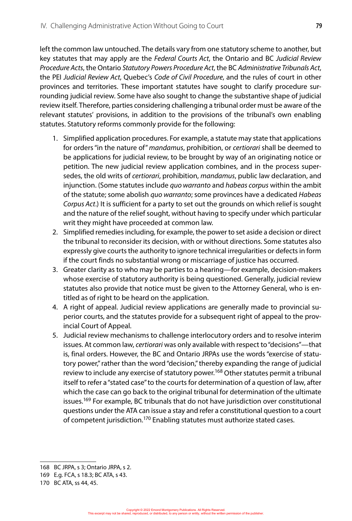left the common law untouched. The details vary from one statutory scheme to another, but key statutes that may apply are the *Federal Courts Act*, the Ontario and BC *Judicial Review Procedure Acts*, the Ontario *Statutory Powers Procedure Act*, the BC *Administrative Tribunals Act*, the PEI *Judicial Review Act*, Quebec's *Code of Civil Procedure*, and the rules of court in other provinces and territories. These important statutes have sought to clarify procedure surrounding judicial review. Some have also sought to change the substantive shape of judicial review itself. Therefore, parties considering challenging a tribunal order must be aware of the relevant statutes' provisions, in addition to the provisions of the tribunal's own enabling statutes. Statutory reforms commonly provide for the following:

- 1. Simplified application procedures. For example, a statute may state that applications for orders "in the nature of" *mandamus*, prohibition, or *certiorari* shall be deemed to be applications for judicial review, to be brought by way of an originating notice or petition. The new judicial review application combines, and in the process supersedes, the old writs of *certiorari*, prohibition, *mandamus*, public law declaration, and injunction. (Some statutes include *quo warranto* and *habeas corpus* within the ambit of the statute; some abolish *quo warranto*; some provinces have a dedicated *Habeas Corpus Act*.) It is sufficient for a party to set out the grounds on which relief is sought and the nature of the relief sought, without having to specify under which particular writ they might have proceeded at common law.
- 2. Simplified remedies including, for example, the power to set aside a decision or direct the tribunal to reconsider its decision, with or without directions. Some statutes also expressly give courts the authority to ignore technical irregularities or defects in form if the court finds no substantial wrong or miscarriage of justice has occurred.
- 3. Greater clarity as to who may be parties to a hearing—for example, decision-makers whose exercise of statutory authority is being questioned. Generally, judicial review statutes also provide that notice must be given to the Attorney General, who is entitled as of right to be heard on the application.
- 4. A right of appeal. Judicial review applications are generally made to provincial superior courts, and the statutes provide for a subsequent right of appeal to the provincial Court of Appeal.
- 5. Judicial review mechanisms to challenge interlocutory orders and to resolve interim issues. At common law, *certiorari* was only available with respect to "decisions"—that is, final orders. However, the BC and Ontario JRPAs use the words "exercise of statutory power," rather than the word "decision," thereby expanding the range of judicial review to include any exercise of statutory power.<sup>168</sup> Other statutes permit a tribunal itself to refer a "stated case" to the courts for determination of a question of law, after which the case can go back to the original tribunal for determination of the ultimate issues.<sup>169</sup> For example, BC tribunals that do not have jurisdiction over constitutional questions under the ATA can issue a stay and refer a constitutional question to a court of competent jurisdiction.<sup>170</sup> Enabling statutes must authorize stated cases.

<sup>168</sup> BC JRPA, s 3; Ontario JRPA, s 2.

<sup>169</sup> E.g. FCA, s 18.3; BC ATA, s 43.

<sup>170</sup> BC ATA, ss 44, 45.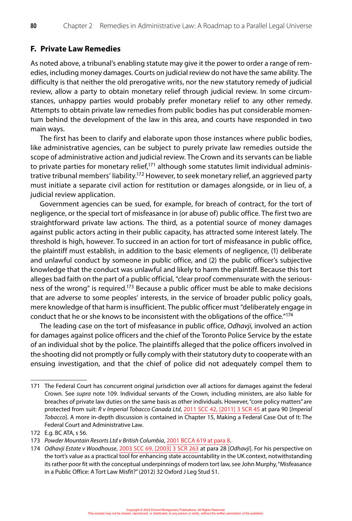## **F. Private Law Remedies**

As noted above, a tribunal's enabling statute may give it the power to order a range of remedies, including money damages. Courts on judicial review do not have the same ability. The difficulty is that neither the old prerogative writs, nor the new statutory remedy of judicial review, allow a party to obtain monetary relief through judicial review. In some circumstances, unhappy parties would probably prefer monetary relief to any other remedy. Attempts to obtain private law remedies from public bodies has put considerable momentum behind the development of the law in this area, and courts have responded in two main ways.

The first has been to clarify and elaborate upon those instances where public bodies, like administrative agencies, can be subject to purely private law remedies outside the scope of administrative action and judicial review. The Crown and its servants can be liable to private parties for monetary relief,<sup>171</sup> although some statutes limit individual administrative tribunal members' liability.<sup>172</sup> However, to seek monetary relief, an aggrieved party must initiate a separate civil action for restitution or damages alongside, or in lieu of, a judicial review application.

Government agencies can be sued, for example, for breach of contract, for the tort of negligence, or the special tort of misfeasance in (or abuse of) public office. The first two are straightforward private law actions. The third, as a potential source of money damages against public actors acting in their public capacity, has attracted some interest lately. The threshold is high, however. To succeed in an action for tort of misfeasance in public office, the plaintiff must establish, in addition to the basic elements of negligence, (1) deliberate and unlawful conduct by someone in public office, and (2) the public officer's subjective knowledge that the conduct was unlawful and likely to harm the plaintiff. Because this tort alleges bad faith on the part of a public official, "clear proof commensurate with the seriousness of the wrong" is required.<sup>173</sup> Because a public officer must be able to make decisions that are adverse to some peoples' interests, in the service of broader public policy goals, mere knowledge of that harm is insufficient. The public officer must "deliberately engage in conduct that he or she knows to be inconsistent with the obligations of the office."174

The leading case on the tort of misfeasance in public office, *Odhavji*, involved an action for damages against police officers and the chief of the Toronto Police Service by the estate of an individual shot by the police. The plaintiffs alleged that the police officers involved in the shooting did not promptly or fully comply with their statutory duty to cooperate with an ensuing investigation, and that the chief of police did not adequately compel them to

<sup>171</sup> The Federal Court has concurrent original jurisdiction over all actions for damages against the federal Crown. See *supra* note 109. Individual servants of the Crown, including ministers, are also liable for breaches of private law duties on the same basis as other individuals. However, "core policy matters" are protected from suit: *R v Imperial Tobacco Canada Ltd*, [2011 SCC 42, \[2011\] 3 SCR 45](https://www.canlii.org/en/ca/scc/doc/2011/2011scc42/2011scc42.html?autocompleteStr=R. v. Imperial Tobacco Canada Ltd%2C %5B2011%5D 3 SCR 45%2C 2011 SCC 42%2C &autocompletePos=1) at para 90 [*Imperial Tobacco*]. A more in-depth discussion is contained in Chapter 15, Making a Federal Case Out of It: The Federal Court and Administrative Law.

<sup>172</sup> E.g. BC ATA, s 56.

<sup>173</sup> *Powder Mountain Resorts Ltd v British Columbia*, [2001 BCCA 619 at para 8](https://www.canlii.org/en/bc/bcca/doc/2001/2001bcca619/2001bcca619.html?autocompleteStr=Powder Mountain Resorts Ltd v British Columbia (2001)%2C 94 BCLR (3d) &autocompletePos=1).

<sup>174</sup> *Odhavji Estate v Woodhouse*, [2003 SCC 69, \[2003\] 3 SCR 263](https://www.canlii.org/en/ca/scc/doc/2003/2003scc69/2003scc69.html?autocompleteStr=Odhavji Estate v Woodhouse%2C 2003 SCC 69%2C %5B2003%5D 3 SCR 263 &autocompletePos=1) at para 28 [*Odhavji*]. For his perspective on the tort's value as a practical tool for enhancing state accountability in the UK context, notwithstanding its rather poor fit with the conceptual underpinnings of modern tort law, see John Murphy, "Misfeasance in a Public Office: A Tort Law Misfit?" (2012) 32 Oxford J Leg Stud 51.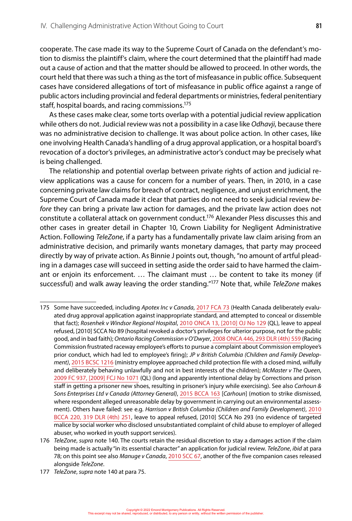cooperate. The case made its way to the Supreme Court of Canada on the defendant's motion to dismiss the plaintiff's claim, where the court determined that the plaintiff had made out a cause of action and that the matter should be allowed to proceed. In other words, the court held that there was such a thing as the tort of misfeasance in public office. Subsequent cases have considered allegations of tort of misfeasance in public office against a range of public actors including provincial and federal departments or ministries, federal penitentiary staff, hospital boards, and racing commissions.<sup>175</sup>

As these cases make clear, some torts overlap with a potential judicial review application while others do not. Judicial review was not a possibility in a case like *Odhavji*, because there was no administrative decision to challenge. It was about police action. In other cases, like one involving Health Canada's handling of a drug approval application, or a hospital board's revocation of a doctor's privileges, an administrative actor's conduct may be precisely what is being challenged.

The relationship and potential overlap between private rights of action and judicial review applications was a cause for concern for a number of years. Then, in 2010, in a case concerning private law claims for breach of contract, negligence, and unjust enrichment, the Supreme Court of Canada made it clear that parties do not need to seek judicial review *before* they can bring a private law action for damages, and the private law action does not constitute a collateral attack on government conduct.176 Alexander Pless discusses this and other cases in greater detail in Chapter 10, Crown Liability for Negligent Administrative Action. Following *TeleZone*, if a party has a fundamentally private law claim arising from an administrative decision, and primarily wants monetary damages, that party may proceed directly by way of private action. As Binnie J points out, though, "no amount of artful pleading in a damages case will succeed in setting aside the order said to have harmed the claimant or enjoin its enforcement. … The claimant must … be content to take its money (if successful) and walk away leaving the order standing."177 Note that, while *TeleZone* makes

<sup>175</sup> Some have succeeded, including *Apotex Inc v Canada*, [2017 FCA 73](https://www.canlii.org/en/ca/fca/doc/2017/2017fca73/2017fca73.html?autocompleteStr=Apotex Inc v Canada%2C 2017 FCA 73 &autocompletePos=1) (Health Canada deliberately evaluated drug approval application against inappropriate standard, and attempted to conceal or dissemble that fact); *Rosenhek v Windsor Regional Hospital*, [2010 ONCA 13, \[2010\] OJ No 129](https://www.canlii.org/en/on/onca/doc/2010/2010onca13/2010onca13.html?autocompleteStr=Rosenhek v Windsor Regional Hospital%2C 2010 ONCA 13%2C %5B2010%5D OJ No 129&autocompletePos=1) (QL), leave to appeal refused, [2010] SCCA No 89 (hospital revoked a doctor's privileges for ulterior purpose, not for the public good, and in bad faith); *Ontario Racing Commission v O'Dwyer*, [2008 ONCA 446, 293 DLR \(4th\) 559](https://www.canlii.org/en/on/onca/doc/2008/2008onca446/2008onca446.html?autocompleteStr=Ontario Racing Commission v O%27Dwyer%2C &autocompletePos=1) (Racing Commission frustrated raceway employee's efforts to pursue a complaint about Commission employee's prior conduct, which had led to employee's firing); *JP v British Columbia (Children and Family Development)*, [2015 BCSC 1216](https://www.canlii.org/en/bc/bcsc/doc/2015/2015bcsc1216/2015bcsc1216.html?autocompleteStr=JP v British Columbia (Children and Family Development)%2C 2015 BCSC 1216 &autocompletePos=1) (ministry employee approached child protection file with a closed mind, wilfully and deliberately behaving unlawfully and not in best interests of the children); *McMaster v The Queen*, [2009 FC 937, \[2009\] FCJ No 1071](http://canlii.ca/t/25ss2) (QL) (long and apparently intentional delay by Corrections and prison staff in getting a prisoner new shoes, resulting in prisoner's injury while exercising). See also *Carhoun & Sons Enterprises Ltd v Canada (Attorney General)*, [2015 BCCA 163](https://www.canlii.org/en/bc/bcca/doc/2015/2015bcca163/2015bcca163.html?autocompleteStr=Carhoun %26 Sons Enterprises Ltd v Canada (Attorney General)%2C 2015 BCCA &autocompletePos=1) [*Carhoun*] (motion to strike dismissed, where respondent alleged unreasonable delay by government in carrying out an environmental assessment). Others have failed: see e.g. *Harrison v British Columbia (Children and Family Development)*, [2010](https://www.canlii.org/en/bc/bcca/doc/2010/2010bcca220/2010bcca220.html?autocompleteStr=Harrison v British Columbia (Children and Family Development)%2C 2010 BCCA 220&autocompletePos=1) [BCCA 220, 319 DLR \(4th\) 251,](https://www.canlii.org/en/bc/bcca/doc/2010/2010bcca220/2010bcca220.html?autocompleteStr=Harrison v British Columbia (Children and Family Development)%2C 2010 BCCA 220&autocompletePos=1) leave to appeal refused, [2010] SCCA No 293 (no evidence of targeted malice by social worker who disclosed unsubstantiated complaint of child abuse to employer of alleged abuser, who worked in youth support services).

<sup>176</sup> *TeleZone*, *supra* note 140. The courts retain the residual discretion to stay a damages action if the claim being made is actually "in its essential character" an application for judicial review. *TeleZone*, *ibid* at para 78; on this point see also *Manuge v Canada*, [2010 SCC 67,](https://www.canlii.org/en/ca/scc/doc/2010/2010scc67/2010scc67.html?autocompleteStr=Manuge v Canada%2C 2010 SCC 67&autocompletePos=1) another of the five companion cases released alongside *TeleZone*.

<sup>177</sup> *TeleZone*, *supra* note 140 at para 75.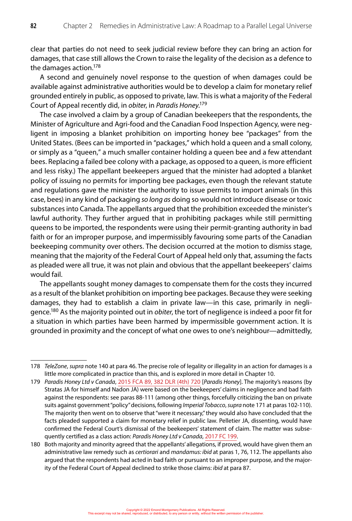clear that parties do not need to seek judicial review before they can bring an action for damages, that case still allows the Crown to raise the legality of the decision as a defence to the damages action.178

A second and genuinely novel response to the question of when damages could be available against administrative authorities would be to develop a claim for monetary relief grounded entirely in public, as opposed to private, law. This is what a majority of the Federal Court of Appeal recently did, in *obiter*, in *Paradis Honey*. 179

The case involved a claim by a group of Canadian beekeepers that the respondents, the Minister of Agriculture and Agri-food and the Canadian Food Inspection Agency, were negligent in imposing a blanket prohibition on importing honey bee "packages" from the United States. (Bees can be imported in "packages," which hold a queen and a small colony, or simply as a "queen," a much smaller container holding a queen bee and a few attendant bees. Replacing a failed bee colony with a package, as opposed to a queen, is more efficient and less risky.) The appellant beekeepers argued that the minister had adopted a blanket policy of issuing no permits for importing bee packages, even though the relevant statute and regulations gave the minister the authority to issue permits to import animals (in this case, bees) in any kind of packaging *so long as* doing so would not introduce disease or toxic substances into Canada. The appellants argued that the prohibition exceeded the minister's lawful authority. They further argued that in prohibiting packages while still permitting queens to be imported, the respondents were using their permit-granting authority in bad faith or for an improper purpose, and impermissibly favouring some parts of the Canadian beekeeping community over others. The decision occurred at the motion to dismiss stage, meaning that the majority of the Federal Court of Appeal held only that, assuming the facts as pleaded were all true, it was not plain and obvious that the appellant beekeepers' claims would fail.

The appellants sought money damages to compensate them for the costs they incurred as a result of the blanket prohibition on importing bee packages. Because they were seeking damages, they had to establish a claim in private law—in this case, primarily in negligence.180 As the majority pointed out in *obiter*, the tort of negligence is indeed a poor fit for a situation in which parties have been harmed by impermissible government action. It is grounded in proximity and the concept of what one owes to one's neighbour—admittedly,

<sup>178</sup> *TeleZone*, *supra* note 140 at para 46. The precise role of legality or illegality in an action for damages is a little more complicated in practice than this, and is explored in more detail in Chapter 10.

<sup>179</sup> *Paradis Honey Ltd v Canada*, [2015 FCA 89, 382 DLR \(4th\) 720](https://www.canlii.org/en/ca/fca/doc/2015/2015fca89/2015fca89.html?autocompleteStr=Paradis Honey Ltd v Canada%2C 2015 FCA 89%2C %5B2015%5D 382 DLR (4th) 720&autocompletePos=1) [*Paradis Honey*]. The majority's reasons (by Stratas JA for himself and Nadon JA) were based on the beekeepers' claims in negligence and bad faith against the respondents: see paras 88-111 (among other things, forcefully criticizing the ban on private suits against government "policy" decisions, following *Imperial Tobacco*, *supra* note 171 at paras 102-110). The majority then went on to observe that "were it necessary," they would also have concluded that the facts pleaded supported a claim for monetary relief in public law. Pelletier JA, dissenting, would have confirmed the Federal Court's dismissal of the beekeepers' statement of claim. The matter was subsequently certified as a class action: *Paradis Honey Ltd v Canada*, [2017 FC 199.](https://www.canlii.org/en/ca/fct/doc/2017/2017fc199/2017fc199.html?autocompleteStr=Paradis Honey Ltd v Canada%2C 2017 FC 199.&autocompletePos=1)

<sup>180</sup> Both majority and minority agreed that the appellants' allegations, if proved, would have given them an administrative law remedy such as *certiorari* and *mandamus: ibid* at paras 1, 76, 112. The appellants also argued that the respondents had acted in bad faith or pursuant to an improper purpose, and the majority of the Federal Court of Appeal declined to strike those claims: *ibid* at para 87.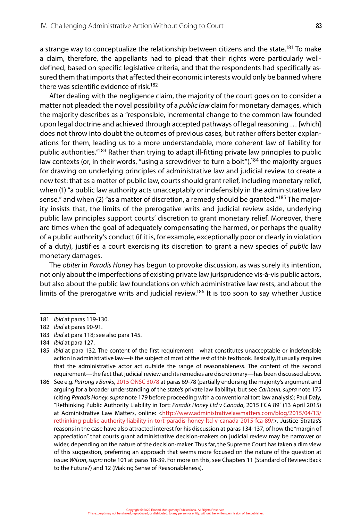a strange way to conceptualize the relationship between citizens and the state.<sup>181</sup> To make a claim, therefore, the appellants had to plead that their rights were particularly welldefined, based on specific legislative criteria, and that the respondents had specifically assured them that imports that affected their economic interests would only be banned where there was scientific evidence of risk.<sup>182</sup>

After dealing with the negligence claim, the majority of the court goes on to consider a matter not pleaded: the novel possibility of a *public law* claim for monetary damages, which the majority describes as a "responsible, incremental change to the common law founded upon legal doctrine and achieved through accepted pathways of legal reasoning … [which] does not throw into doubt the outcomes of previous cases, but rather offers better explanations for them, leading us to a more understandable, more coherent law of liability for public authorities."183 Rather than trying to adapt ill-fitting private law principles to public law contexts (or, in their words, "using a screwdriver to turn a bolt"), $184$  the majority argues for drawing on underlying principles of administrative law and judicial review to create a new test: that as a matter of public law, courts should grant relief, including monetary relief, when (1) "a public law authority acts unacceptably or indefensibly in the administrative law sense," and when (2) "as a matter of discretion, a remedy should be granted."<sup>185</sup> The majority insists that, the limits of the prerogative writs and judicial review aside, underlying public law principles support courts' discretion to grant monetary relief. Moreover, there are times when the goal of adequately compensating the harmed, or perhaps the quality of a public authority's conduct (if it is, for example, exceptionally poor or clearly in violation of a duty), justifies a court exercising its discretion to grant a new species of *public* law monetary damages.

The *obiter* in *Paradis Honey* has begun to provoke discussion, as was surely its intention, not only about the imperfections of existing private law jurisprudence vis-à-vis public actors, but also about the public law foundations on which administrative law rests, and about the limits of the prerogative writs and judicial review.<sup>186</sup> It is too soon to say whether Justice

<sup>181</sup> *Ibid* at paras 119-130.

<sup>182</sup> *Ibid* at paras 90-91.

<sup>183</sup> *Ibid* at para 118; see also para 145.

<sup>184</sup> *Ibid* at para 127.

<sup>185</sup> *Ibid* at para 132. The content of the first requirement—what constitutes unacceptable or indefensible action in administrative law—is the subject of most of the rest of this textbook. Basically, it usually requires that the administrative actor act outside the range of reasonableness. The content of the second requirement—the fact that judicial review and its remedies are discretionary—has been discussed above.

<sup>186</sup> See e.g. *Patrong v Banks*, [2015 ONSC 3078](https://www.canlii.org/en/on/onsc/doc/2015/2015onsc3078/2015onsc3078.html?resultIndex=1) at paras 69-78 (partially endorsing the majority's argument and arguing for a broader understanding of the state's private law liability); but see *Carhoun*, *supra* note 175 (citing *Paradis Honey*, *supra* note 179 before proceeding with a conventional tort law analysis); Paul Daly, "Rethinking Public Authority Liability in Tort: *Paradis Honey Ltd v Canada*, 2015 FCA 89" (13 April 2015) at Administrative Law Matters, online: <[http://www.administrativelawmatters.com/blog/2015/04/13/](http://www.administrativelawmatters.com/blog/2015/04/13/rethinking-public-authority-liability-in-tort-paradis-honey-ltd-v-canada-2015-fca-89/) [rethinking-public-authority-liability-in-tort-paradis-honey-ltd-v-canada-2015-fca-89/>](http://www.administrativelawmatters.com/blog/2015/04/13/rethinking-public-authority-liability-in-tort-paradis-honey-ltd-v-canada-2015-fca-89/). Justice Stratas's reasons in the case have also attracted interest for his discussion at paras 134-137, of how the "margin of appreciation" that courts grant administrative decision-makers on judicial review may be narrower or wider, depending on the nature of the decision-maker. Thus far, the Supreme Court has taken a dim view of this suggestion, preferring an approach that seems more focused on the nature of the question at issue: *Wilson*, *supra* note 101 at paras 18-39. For more on this, see Chapters 11 (Standard of Review: Back to the Future?) and 12 (Making Sense of Reasonableness).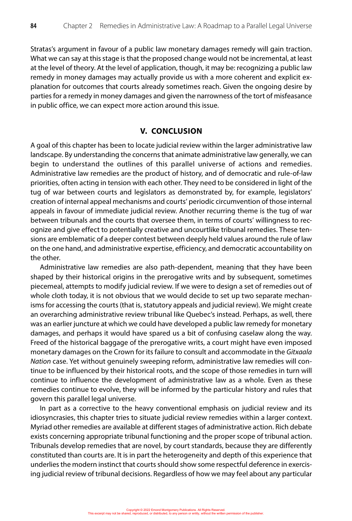Stratas's argument in favour of a public law monetary damages remedy will gain traction. What we can say at this stage is that the proposed change would not be incremental, at least at the level of theory. At the level of application, though, it may be: recognizing a public law remedy in money damages may actually provide us with a more coherent and explicit explanation for outcomes that courts already sometimes reach. Given the ongoing desire by parties for a remedy in money damages and given the narrowness of the tort of misfeasance in public office, we can expect more action around this issue.

## **V. CONCLUSION**

A goal of this chapter has been to locate judicial review within the larger administrative law landscape. By understanding the concerns that animate administrative law generally, we can begin to understand the outlines of this parallel universe of actions and remedies. Administrative law remedies are the product of history, and of democratic and rule-of-law priorities, often acting in tension with each other. They need to be considered in light of the tug of war between courts and legislators as demonstrated by, for example, legislators' creation of internal appeal mechanisms and courts' periodic circumvention of those internal appeals in favour of immediate judicial review. Another recurring theme is the tug of war between tribunals and the courts that oversee them, in terms of courts' willingness to recognize and give effect to potentially creative and uncourtlike tribunal remedies. These tensions are emblematic of a deeper contest between deeply held values around the rule of law on the one hand, and administrative expertise, efficiency, and democratic accountability on the other.

Administrative law remedies are also path-dependent, meaning that they have been shaped by their historical origins in the prerogative writs and by subsequent, sometimes piecemeal, attempts to modify judicial review. If we were to design a set of remedies out of whole cloth today, it is not obvious that we would decide to set up two separate mechanisms for accessing the courts (that is, statutory appeals and judicial review). We might create an overarching administrative review tribunal like Quebec's instead. Perhaps, as well, there was an earlier juncture at which we could have developed a public law remedy for monetary damages, and perhaps it would have spared us a bit of confusing caselaw along the way. Freed of the historical baggage of the prerogative writs, a court might have even imposed monetary damages on the Crown for its failure to consult and accommodate in the *Gitxaala Nation* case. Yet without genuinely sweeping reform, administrative law remedies will continue to be influenced by their historical roots, and the scope of those remedies in turn will continue to influence the development of administrative law as a whole. Even as these remedies continue to evolve, they will be informed by the particular history and rules that govern this parallel legal universe.

In part as a corrective to the heavy conventional emphasis on judicial review and its idiosyncrasies, this chapter tries to situate judicial review remedies within a larger context. Myriad other remedies are available at different stages of administrative action. Rich debate exists concerning appropriate tribunal functioning and the proper scope of tribunal action. Tribunals develop remedies that are novel, by court standards, because they are differently constituted than courts are. It is in part the heterogeneity and depth of this experience that underlies the modern instinct that courts should show some respectful deference in exercising judicial review of tribunal decisions. Regardless of how we may feel about any particular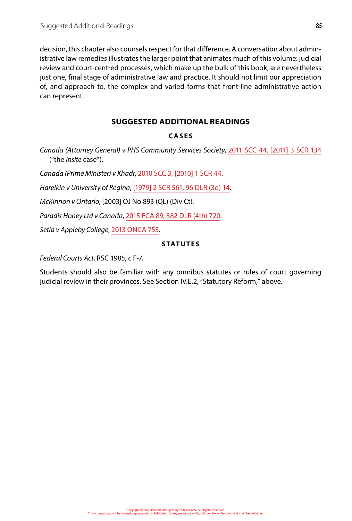decision, this chapter also counsels respect for that difference. A conversation about administrative law remedies illustrates the larger point that animates much of this volume: judicial review and court-centred processes, which make up the bulk of this book, are nevertheless just one, final stage of administrative law and practice. It should not limit our appreciation of, and approach to, the complex and varied forms that front-line administrative action can represent.

# **SUGGESTED ADDITIONAL READINGS**

## **CASES**

*Canada (Attorney General) v PHS Community Services Society*, [2011 SCC 44, \[2011\] 3 SCR 134](https://www.canlii.org/en/ca/scc/doc/2011/2011scc44/2011scc44.html?autocompleteStr=Canada (Attorney General) v PHS Community Services Society%2C 2011 SCC 44%2C %5B2011%5D 3 SCR 134&autocompletePos=1) ("the *Insite* case").

*Canada (Prime Minister) v Khadr*, [2010 SCC 3, \[2010\] 1 SCR 44](https://www.canlii.org/en/ca/scc/doc/2010/2010scc3/2010scc3.html?autocompleteStr=Canada (Prime Minister) v Khadr%2C 2010 SCC 3%2C %5B2010%5D 1 SCR 44 %5BKhadr%5D.&autocompletePos=1).

*Harelkin v University of Regina*, [\[1979\] 2 SCR 561, 96 DLR \(3d\) 14.](https://www.canlii.org/en/ca/scc/doc/1979/1979canlii18/1979canlii18.html?autocompleteStr=Harelkin v University of Regina%2C %5B1979%5D 2 SCR 561%2C 96 DLR (3d) 14.&autocompletePos=1)

*McKinnon v Ontario*, [2003] OJ No 893 (QL) (Div Ct).

*Paradis Honey Ltd v Canada*, [2015 FCA 89, 382 DLR \(4th\) 720.](https://www.canlii.org/en/ca/fca/doc/2015/2015fca89/2015fca89.html?autocompleteStr=Paradis Honey Ltd v Canada%2C 2015 FCA 89%2C %5B2015%5D 382 DLR (4th) 720&autocompletePos=1)

*Setia v Appleby College*, [2013 ONCA 753](https://www.canlii.org/en/on/onca/doc/2013/2013onca753/2013onca753.html?autocompleteStr=Setia v Appleby College%2C 2013 ONCA 753 &autocompletePos=1).

## **STATUTES**

*Federal Courts Act*, RSC 1985, c F-7.

Students should also be familiar with any omnibus statutes or rules of court governing judicial review in their provinces. See Section IV.E.2, "Statutory Reform," above.